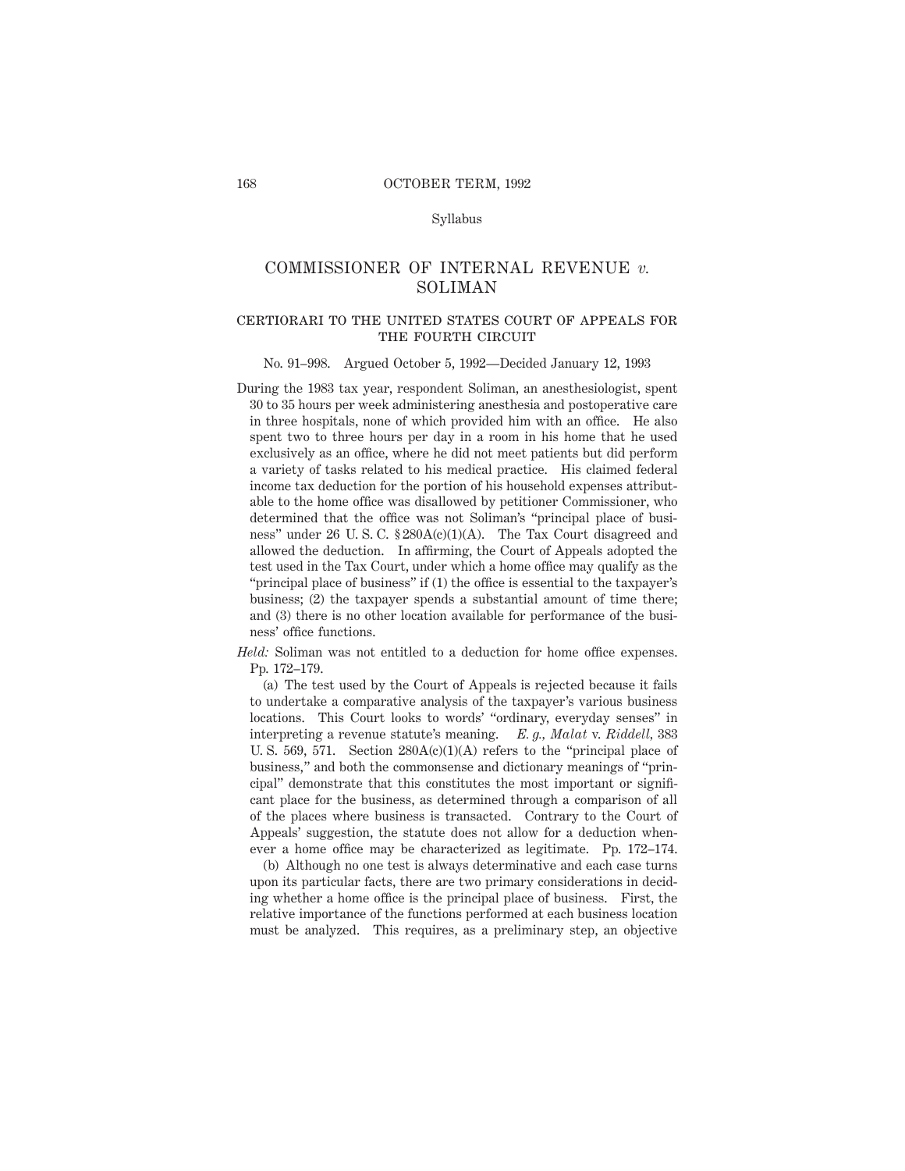### Syllabus

# COMMISSIONER OF INTERNAL REVENUE *v.* SOLIMAN

### certiorari to the united states court of appeals forTHE FOURTH CIRCUIT

#### No. 91–998. Argued October 5, 1992—Decided January 12, 1993

During the 1983 tax year, respondent Soliman, an anesthesiologist, spent 30 to 35 hours per week administering anesthesia and postoperative care in three hospitals, none of which provided him with an office. He also spent two to three hours per day in a room in his home that he used exclusively as an office, where he did not meet patients but did perform a variety of tasks related to his medical practice. His claimed federal income tax deduction for the portion of his household expenses attributable to the home office was disallowed by petitioner Commissioner, who determined that the office was not Soliman's "principal place of business" under 26 U. S. C. § 280A(c)(1)(A). The Tax Court disagreed and allowed the deduction. In affirming, the Court of Appeals adopted the test used in the Tax Court, under which a home office may qualify as the "principal place of business" if (1) the office is essential to the taxpayer's business; (2) the taxpayer spends a substantial amount of time there; and (3) there is no other location available for performance of the business' office functions.

*Held:* Soliman was not entitled to a deduction for home office expenses. Pp. 172–179.

(a) The test used by the Court of Appeals is rejected because it fails to undertake a comparative analysis of the taxpayer's various business locations. This Court looks to words' "ordinary, everyday senses" in interpreting a revenue statute's meaning. *E. g., Malat* v. *Riddell,* 383 U. S. 569, 571. Section  $280A(c)(1)(A)$  refers to the "principal place of business," and both the commonsense and dictionary meanings of "principal" demonstrate that this constitutes the most important or significant place for the business, as determined through a comparison of all of the places where business is transacted. Contrary to the Court of Appeals' suggestion, the statute does not allow for a deduction whenever a home office may be characterized as legitimate. Pp. 172–174.

(b) Although no one test is always determinative and each case turns upon its particular facts, there are two primary considerations in deciding whether a home office is the principal place of business. First, the relative importance of the functions performed at each business location must be analyzed. This requires, as a preliminary step, an objective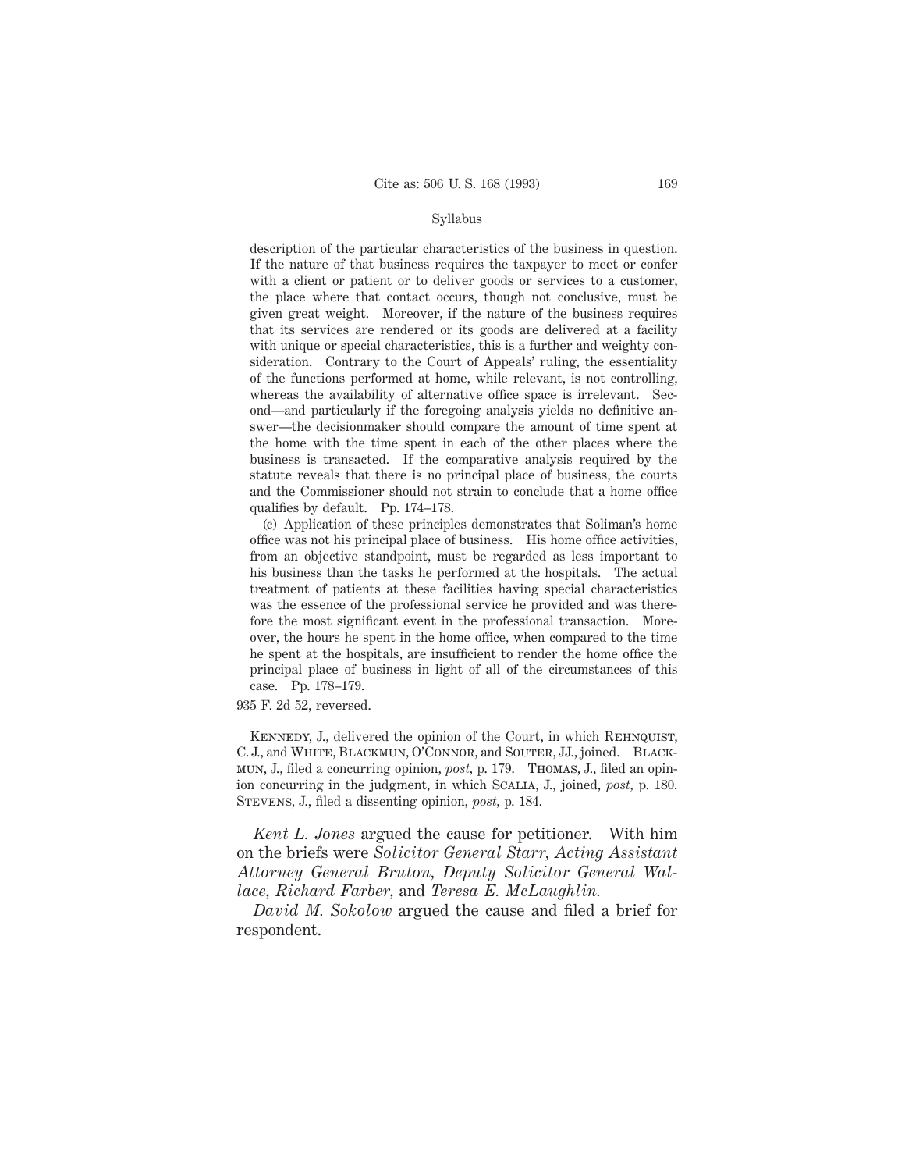#### Syllabus

description of the particular characteristics of the business in question. If the nature of that business requires the taxpayer to meet or confer with a client or patient or to deliver goods or services to a customer, the place where that contact occurs, though not conclusive, must be given great weight. Moreover, if the nature of the business requires that its services are rendered or its goods are delivered at a facility with unique or special characteristics, this is a further and weighty consideration. Contrary to the Court of Appeals' ruling, the essentiality of the functions performed at home, while relevant, is not controlling, whereas the availability of alternative office space is irrelevant. Second—and particularly if the foregoing analysis yields no definitive answer—the decisionmaker should compare the amount of time spent at the home with the time spent in each of the other places where the business is transacted. If the comparative analysis required by the statute reveals that there is no principal place of business, the courts and the Commissioner should not strain to conclude that a home office qualifies by default. Pp. 174–178.

(c) Application of these principles demonstrates that Soliman's home office was not his principal place of business. His home office activities, from an objective standpoint, must be regarded as less important to his business than the tasks he performed at the hospitals. The actual treatment of patients at these facilities having special characteristics was the essence of the professional service he provided and was therefore the most significant event in the professional transaction. Moreover, the hours he spent in the home office, when compared to the time he spent at the hospitals, are insufficient to render the home office the principal place of business in light of all of the circumstances of this case. Pp. 178–179.

935 F. 2d 52, reversed.

KENNEDY, J., delivered the opinion of the Court, in which REHNQUIST, C. J., and White, Blackmun, O'Connor, and Souter, JJ., joined. Blackmun, J., filed a concurring opinion, *post,* p. 179. Thomas, J., filed an opinion concurring in the judgment, in which Scalia, J., joined, *post,* p. 180. Stevens, J., filed a dissenting opinion, *post,* p. 184.

*Kent L. Jones* argued the cause for petitioner. With him on the briefs were *Solicitor General Starr, Acting Assistant Attorney General Bruton, Deputy Solicitor General Wallace, Richard Farber,* and *Teresa E. McLaughlin.*

*David M. Sokolow* argued the cause and filed a brief for respondent.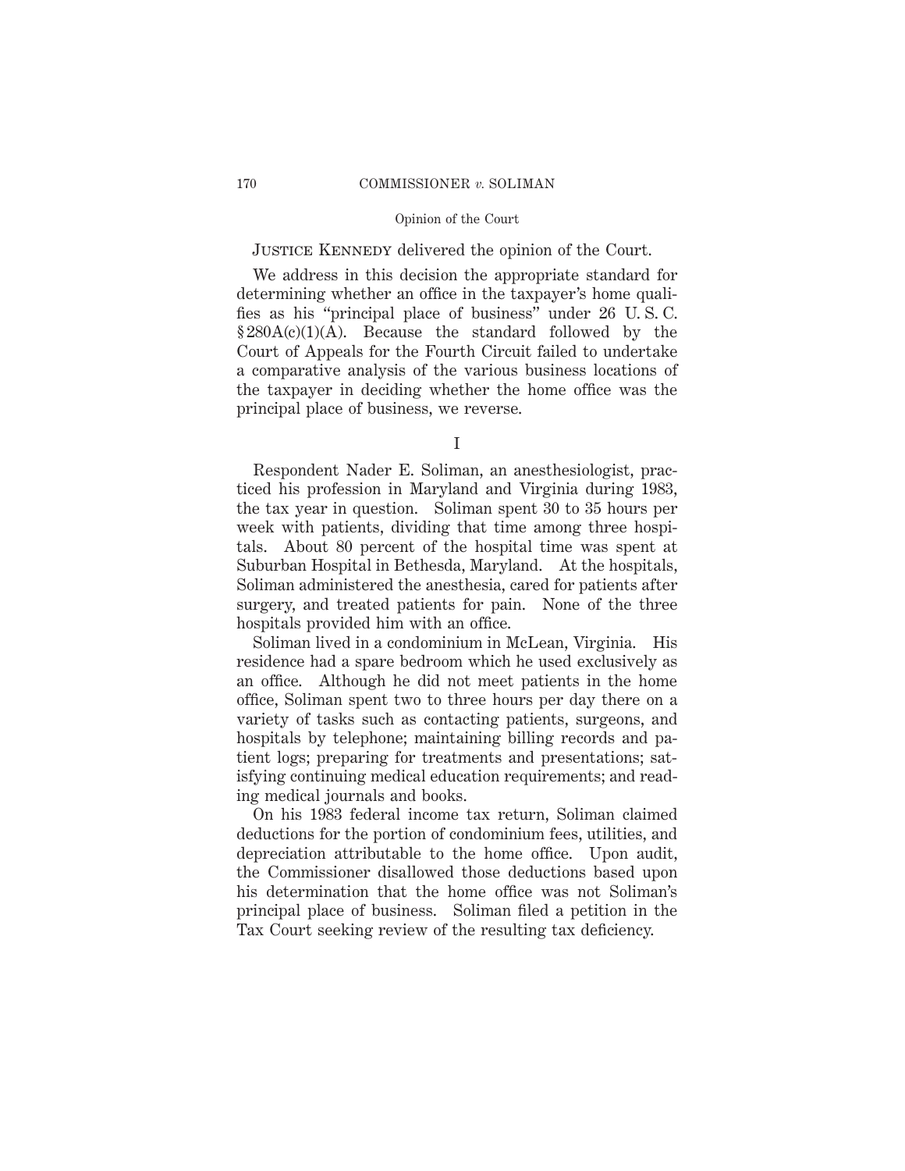### 170 COMMISSIONER *v.* SOLIMAN

### Opinion of the Court

# JUSTICE KENNEDY delivered the opinion of the Court.

We address in this decision the appropriate standard for determining whether an office in the taxpayer's home qualifies as his "principal place of business" under 26 U. S. C.  $$280A(c)(1)(A)$ . Because the standard followed by the Court of Appeals for the Fourth Circuit failed to undertake a comparative analysis of the various business locations of the taxpayer in deciding whether the home office was the principal place of business, we reverse.

I

Respondent Nader E. Soliman, an anesthesiologist, practiced his profession in Maryland and Virginia during 1983, the tax year in question. Soliman spent 30 to 35 hours per week with patients, dividing that time among three hospitals. About 80 percent of the hospital time was spent at Suburban Hospital in Bethesda, Maryland. At the hospitals, Soliman administered the anesthesia, cared for patients after surgery, and treated patients for pain. None of the three hospitals provided him with an office.

Soliman lived in a condominium in McLean, Virginia. His residence had a spare bedroom which he used exclusively as an office. Although he did not meet patients in the home office, Soliman spent two to three hours per day there on a variety of tasks such as contacting patients, surgeons, and hospitals by telephone; maintaining billing records and patient logs; preparing for treatments and presentations; satisfying continuing medical education requirements; and reading medical journals and books.

On his 1983 federal income tax return, Soliman claimed deductions for the portion of condominium fees, utilities, and depreciation attributable to the home office. Upon audit, the Commissioner disallowed those deductions based upon his determination that the home office was not Soliman's principal place of business. Soliman filed a petition in the Tax Court seeking review of the resulting tax deficiency.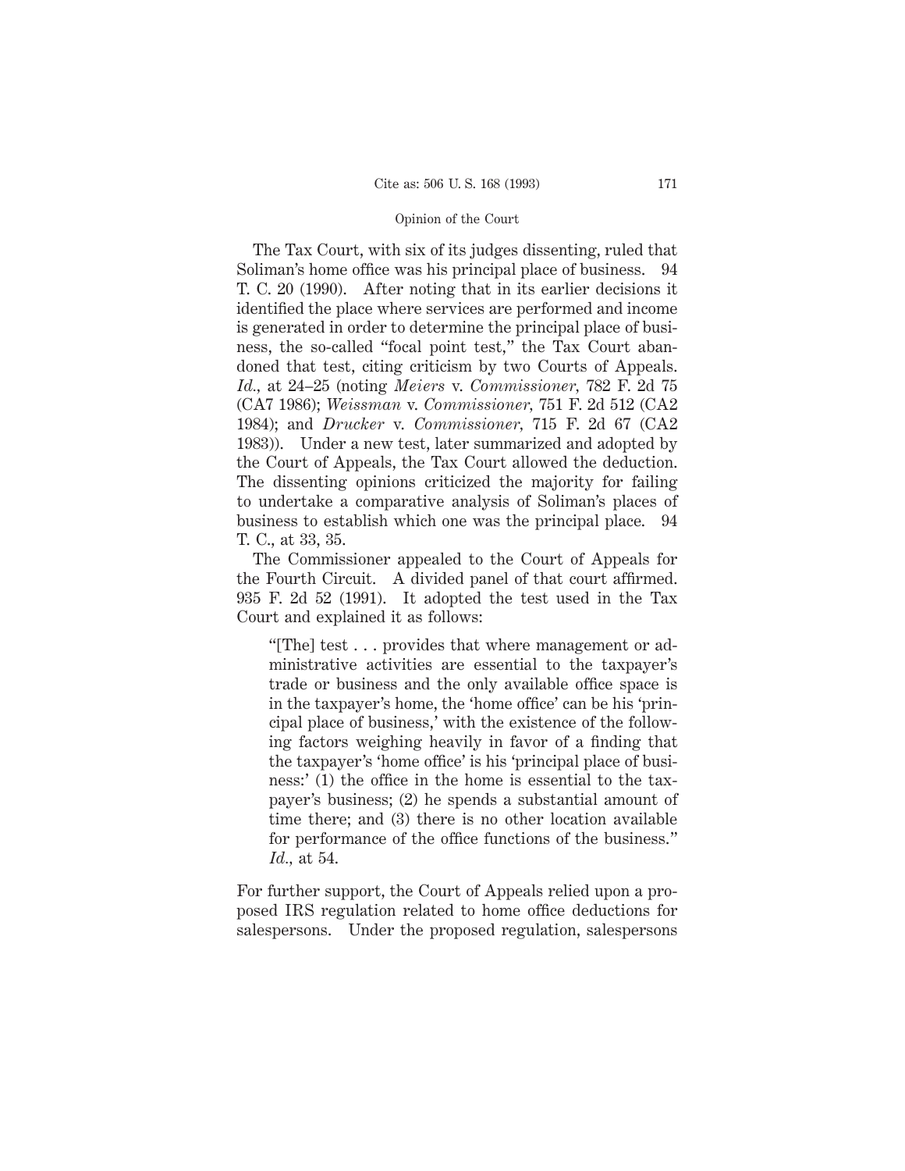The Tax Court, with six of its judges dissenting, ruled that Soliman's home office was his principal place of business. 94 T. C. 20 (1990). After noting that in its earlier decisions it identified the place where services are performed and income is generated in order to determine the principal place of business, the so-called "focal point test," the Tax Court abandoned that test, citing criticism by two Courts of Appeals. *Id.,* at 24–25 (noting *Meiers* v. *Commissioner,* 782 F. 2d 75 (CA7 1986); *Weissman* v. *Commissioner,* 751 F. 2d 512 (CA2 1984); and *Drucker* v. *Commissioner,* 715 F. 2d 67 (CA2 1983)). Under a new test, later summarized and adopted by the Court of Appeals, the Tax Court allowed the deduction. The dissenting opinions criticized the majority for failing to undertake a comparative analysis of Soliman's places of business to establish which one was the principal place. 94 T. C., at 33, 35.

The Commissioner appealed to the Court of Appeals for the Fourth Circuit. A divided panel of that court affirmed. 935 F. 2d 52 (1991). It adopted the test used in the Tax Court and explained it as follows:

"[The] test... provides that where management or administrative activities are essential to the taxpayer's trade or business and the only available office space is in the taxpayer's home, the 'home office' can be his 'principal place of business,' with the existence of the following factors weighing heavily in favor of a finding that the taxpayer's 'home office' is his 'principal place of business:' (1) the office in the home is essential to the taxpayer's business; (2) he spends a substantial amount of time there; and (3) there is no other location available for performance of the office functions of the business." *Id.,* at 54.

For further support, the Court of Appeals relied upon a proposed IRS regulation related to home office deductions for salespersons. Under the proposed regulation, salespersons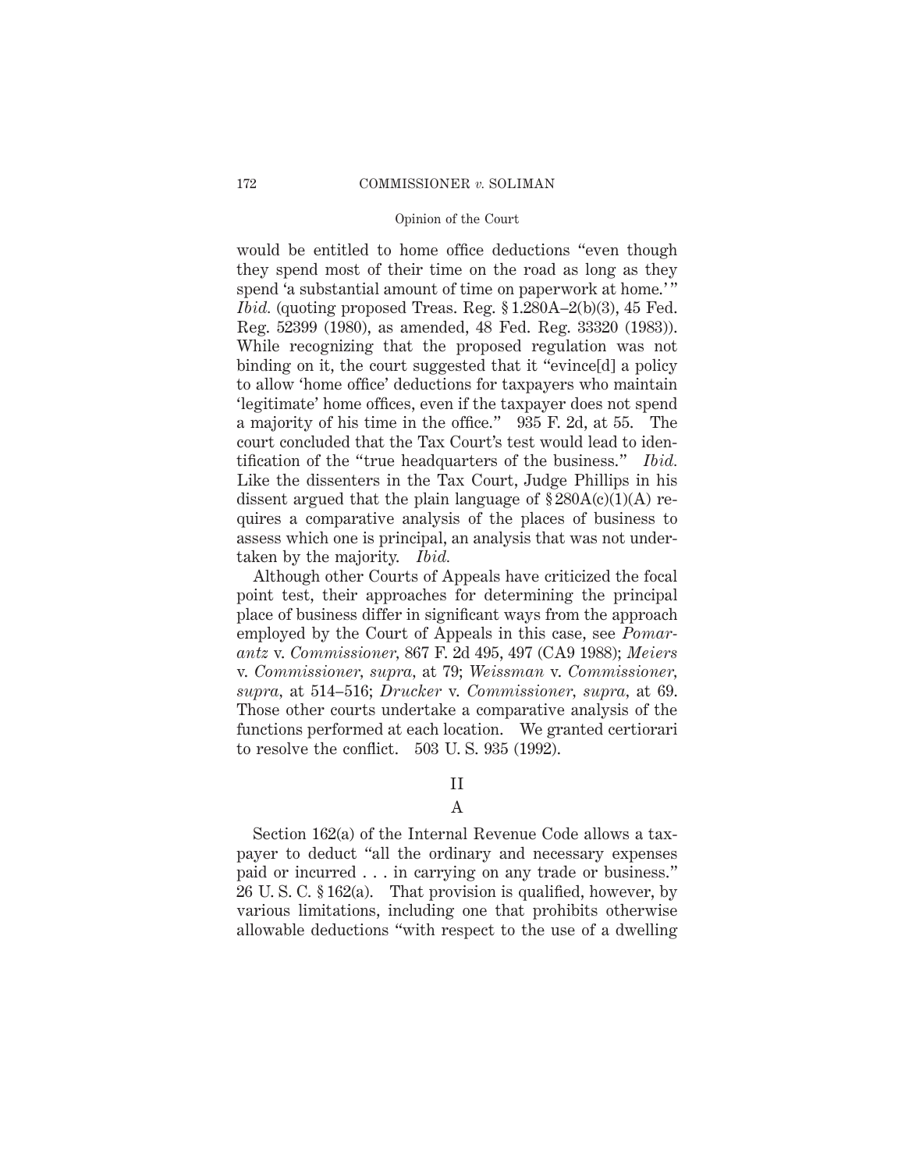would be entitled to home office deductions "even though they spend most of their time on the road as long as they spend 'a substantial amount of time on paperwork at home.'" *Ibid.* (quoting proposed Treas. Reg. § 1.280A–2(b)(3), 45 Fed. Reg. 52399 (1980), as amended, 48 Fed. Reg. 33320 (1983)). While recognizing that the proposed regulation was not binding on it, the court suggested that it "evince[d] a policy to allow 'home office' deductions for taxpayers who maintain 'legitimate' home offices, even if the taxpayer does not spend a majority of his time in the office." 935 F. 2d, at 55. The court concluded that the Tax Court's test would lead to identification of the "true headquarters of the business." *Ibid.* Like the dissenters in the Tax Court, Judge Phillips in his dissent argued that the plain language of  $\S 280A(c)(1)(A)$  requires a comparative analysis of the places of business to assess which one is principal, an analysis that was not undertaken by the majority. *Ibid.*

Although other Courts of Appeals have criticized the focal point test, their approaches for determining the principal place of business differ in significant ways from the approach employed by the Court of Appeals in this case, see *Pomarantz* v. *Commissioner,* 867 F. 2d 495, 497 (CA9 1988); *Meiers* v. *Commissioner, supra,* at 79; *Weissman* v. *Commissioner, supra,* at 514–516; *Drucker* v. *Commissioner, supra,* at 69. Those other courts undertake a comparative analysis of the functions performed at each location. We granted certiorari to resolve the conflict. 503 U. S. 935 (1992).

# II

# A

Section 162(a) of the Internal Revenue Code allows a taxpayer to deduct "all the ordinary and necessary expenses paid or incurred . . . in carrying on any trade or business." 26 U. S. C. § 162(a). That provision is qualified, however, by various limitations, including one that prohibits otherwise allowable deductions "with respect to the use of a dwelling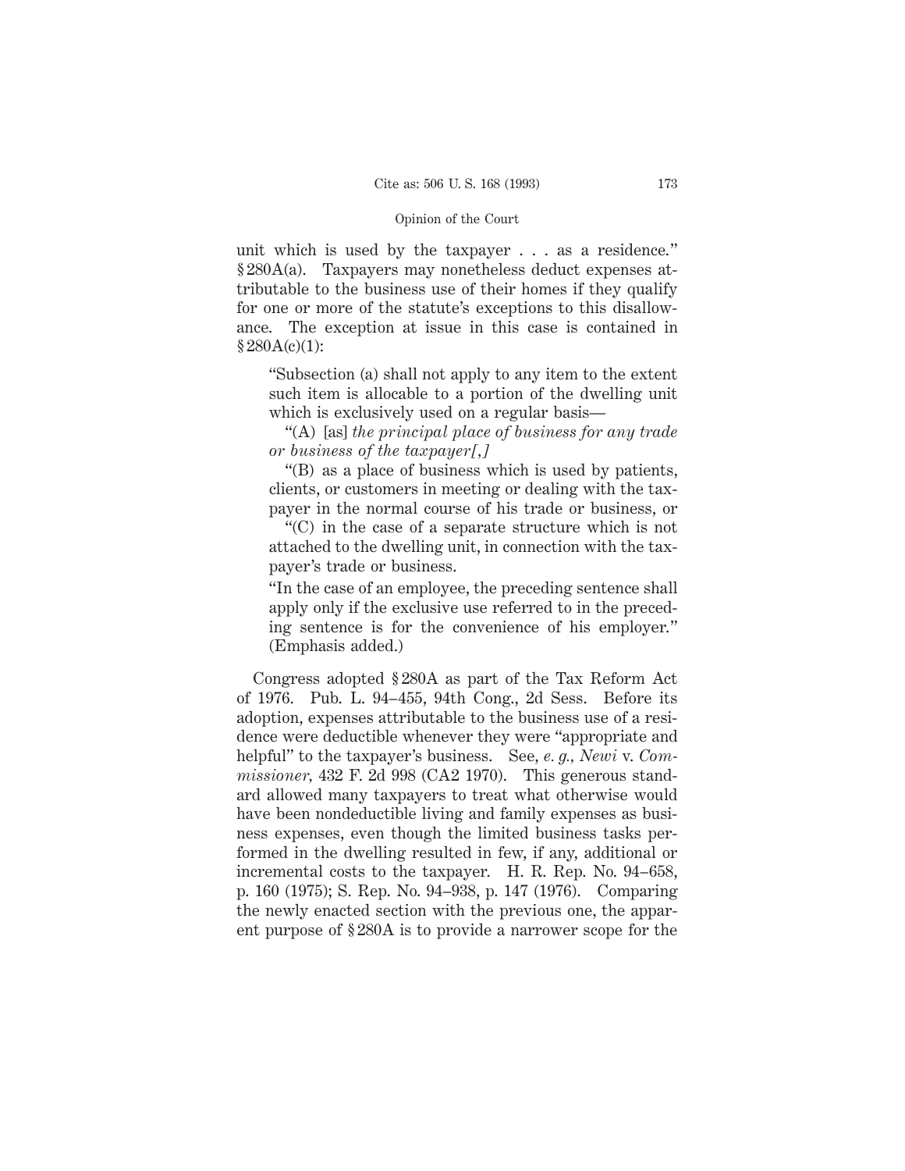unit which is used by the taxpayer . . . as a residence." § 280A(a). Taxpayers may nonetheless deduct expenses attributable to the business use of their homes if they qualify for one or more of the statute's exceptions to this disallowance. The exception at issue in this case is contained in  $$280A(c)(1):$ 

"Subsection (a) shall not apply to any item to the extent such item is allocable to a portion of the dwelling unit which is exclusively used on a regular basis—

"(A) [as] *the principal place of business for any trade or business of the taxpayer[,]*

"(B) as a place of business which is used by patients, clients, or customers in meeting or dealing with the taxpayer in the normal course of his trade or business, or

"(C) in the case of a separate structure which is not attached to the dwelling unit, in connection with the taxpayer's trade or business.

"In the case of an employee, the preceding sentence shall apply only if the exclusive use referred to in the preceding sentence is for the convenience of his employer." (Emphasis added.)

Congress adopted § 280A as part of the Tax Reform Act of 1976. Pub. L. 94–455, 94th Cong., 2d Sess. Before its adoption, expenses attributable to the business use of a residence were deductible whenever they were "appropriate and helpful" to the taxpayer's business. See, *e. g., Newi* v. *Commissioner,* 432 F. 2d 998 (CA2 1970). This generous standard allowed many taxpayers to treat what otherwise would have been nondeductible living and family expenses as business expenses, even though the limited business tasks performed in the dwelling resulted in few, if any, additional or incremental costs to the taxpayer. H. R. Rep. No. 94–658, p. 160 (1975); S. Rep. No. 94–938, p. 147 (1976). Comparing the newly enacted section with the previous one, the apparent purpose of § 280A is to provide a narrower scope for the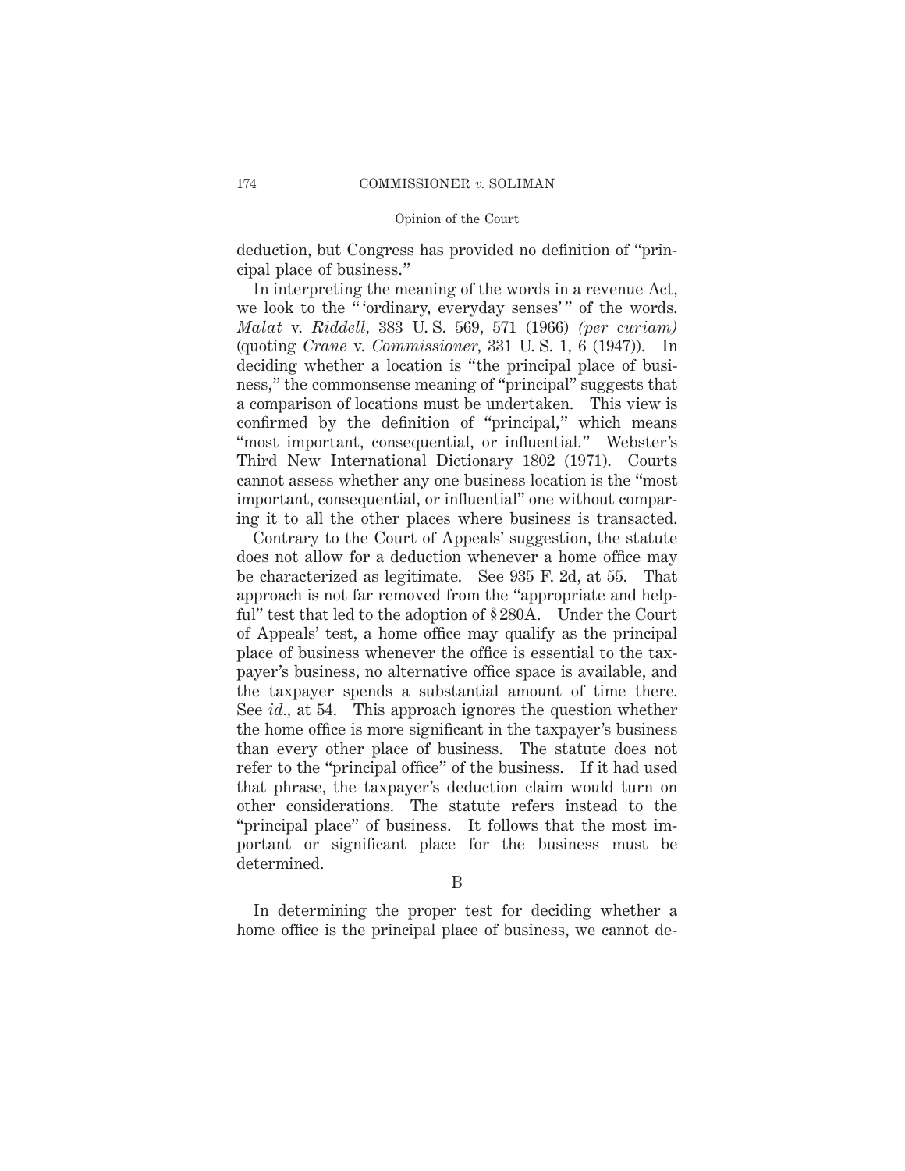deduction, but Congress has provided no definition of "principal place of business."

In interpreting the meaning of the words in a revenue Act, we look to the "'ordinary, everyday senses'" of the words. *Malat* v. *Riddell,* 383 U. S. 569, 571 (1966) *(per curiam)* (quoting *Crane* v. *Commissioner,* 331 U. S. 1, 6 (1947)). In deciding whether a location is "the principal place of business," the commonsense meaning of "principal" suggests that a comparison of locations must be undertaken. This view is confirmed by the definition of "principal," which means "most important, consequential, or influential." Webster's Third New International Dictionary 1802 (1971). Courts cannot assess whether any one business location is the "most important, consequential, or influential" one without comparing it to all the other places where business is transacted.

Contrary to the Court of Appeals' suggestion, the statute does not allow for a deduction whenever a home office may be characterized as legitimate. See 935 F. 2d, at 55. That approach is not far removed from the "appropriate and helpful" test that led to the adoption of §280A. Under the Court of Appeals' test, a home office may qualify as the principal place of business whenever the office is essential to the taxpayer's business, no alternative office space is available, and the taxpayer spends a substantial amount of time there. See *id.,* at 54. This approach ignores the question whether the home office is more significant in the taxpayer's business than every other place of business. The statute does not refer to the "principal office" of the business. If it had used that phrase, the taxpayer's deduction claim would turn on other considerations. The statute refers instead to the "principal place" of business. It follows that the most important or significant place for the business must be determined.

B

In determining the proper test for deciding whether a home office is the principal place of business, we cannot de-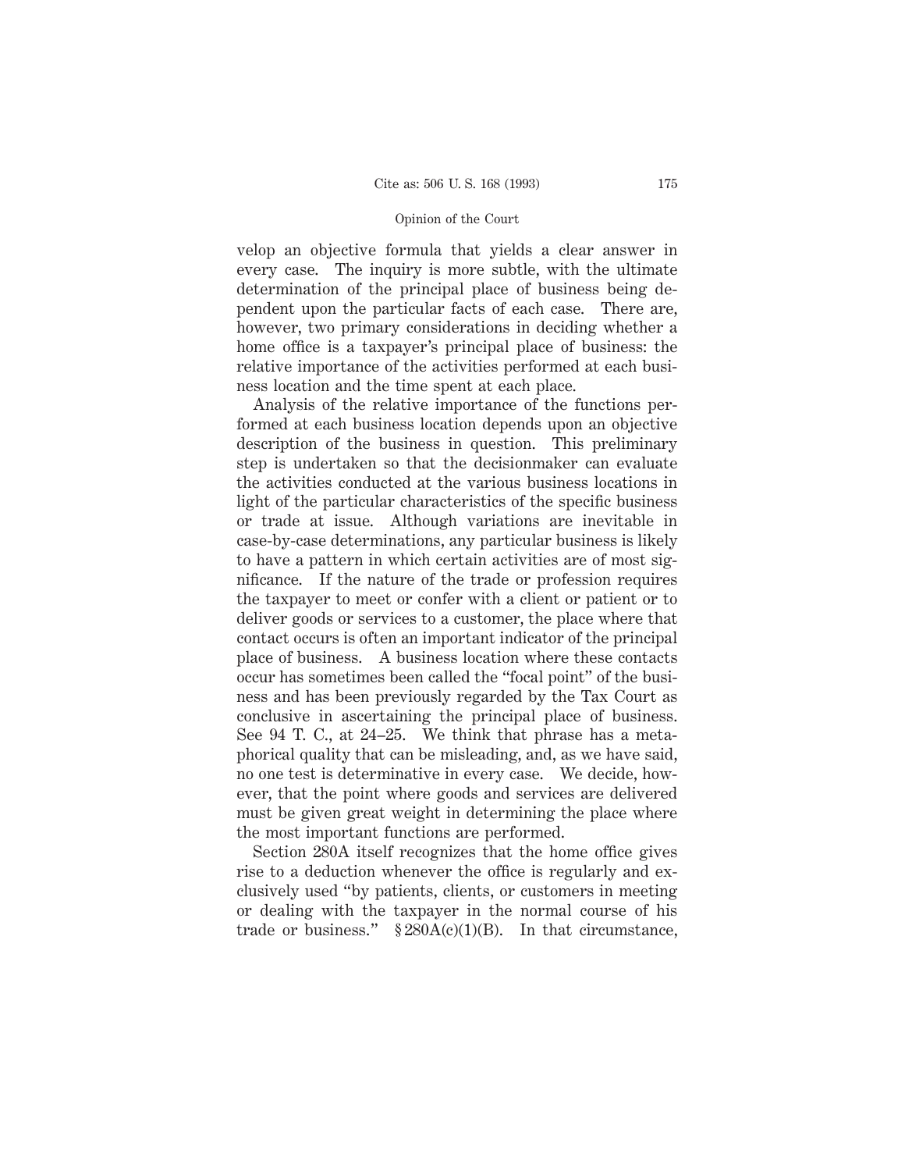velop an objective formula that yields a clear answer in every case. The inquiry is more subtle, with the ultimate determination of the principal place of business being dependent upon the particular facts of each case. There are, however, two primary considerations in deciding whether a home office is a taxpayer's principal place of business: the relative importance of the activities performed at each business location and the time spent at each place.

Analysis of the relative importance of the functions performed at each business location depends upon an objective description of the business in question. This preliminary step is undertaken so that the decisionmaker can evaluate the activities conducted at the various business locations in light of the particular characteristics of the specific business or trade at issue. Although variations are inevitable in case-by-case determinations, any particular business is likely to have a pattern in which certain activities are of most significance. If the nature of the trade or profession requires the taxpayer to meet or confer with a client or patient or to deliver goods or services to a customer, the place where that contact occurs is often an important indicator of the principal place of business. A business location where these contacts occur has sometimes been called the "focal point" of the business and has been previously regarded by the Tax Court as conclusive in ascertaining the principal place of business. See 94 T. C., at 24–25. We think that phrase has a metaphorical quality that can be misleading, and, as we have said, no one test is determinative in every case. We decide, however, that the point where goods and services are delivered must be given great weight in determining the place where the most important functions are performed.

Section 280A itself recognizes that the home office gives rise to a deduction whenever the office is regularly and exclusively used "by patients, clients, or customers in meeting or dealing with the taxpayer in the normal course of his trade or business."  $§ 280A(c)(1)(B)$ . In that circumstance,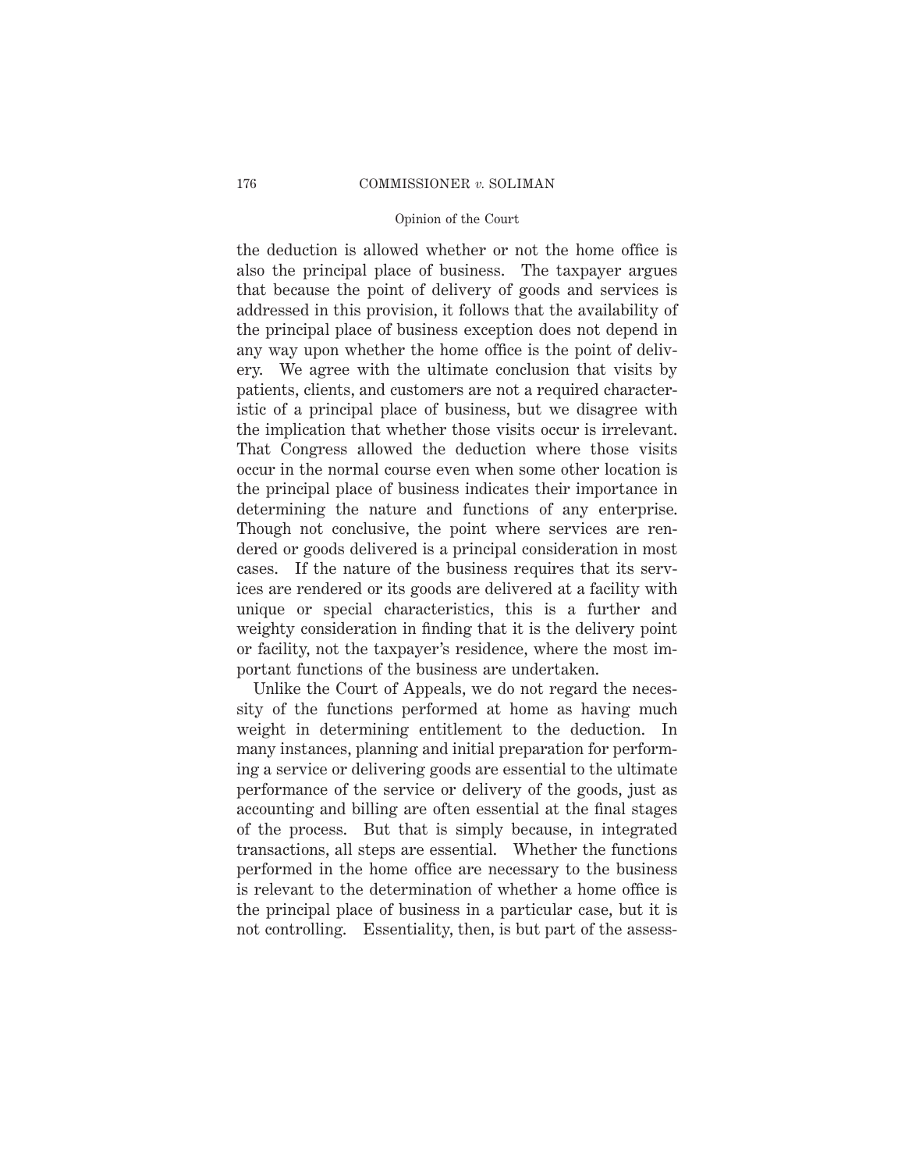the deduction is allowed whether or not the home office is also the principal place of business. The taxpayer argues that because the point of delivery of goods and services is addressed in this provision, it follows that the availability of the principal place of business exception does not depend in any way upon whether the home office is the point of delivery. We agree with the ultimate conclusion that visits by patients, clients, and customers are not a required characteristic of a principal place of business, but we disagree with the implication that whether those visits occur is irrelevant. That Congress allowed the deduction where those visits occur in the normal course even when some other location is the principal place of business indicates their importance in determining the nature and functions of any enterprise. Though not conclusive, the point where services are rendered or goods delivered is a principal consideration in most cases. If the nature of the business requires that its services are rendered or its goods are delivered at a facility with unique or special characteristics, this is a further and weighty consideration in finding that it is the delivery point or facility, not the taxpayer's residence, where the most important functions of the business are undertaken.

Unlike the Court of Appeals, we do not regard the necessity of the functions performed at home as having much weight in determining entitlement to the deduction. In many instances, planning and initial preparation for performing a service or delivering goods are essential to the ultimate performance of the service or delivery of the goods, just as accounting and billing are often essential at the final stages of the process. But that is simply because, in integrated transactions, all steps are essential. Whether the functions performed in the home office are necessary to the business is relevant to the determination of whether a home office is the principal place of business in a particular case, but it is not controlling. Essentiality, then, is but part of the assess-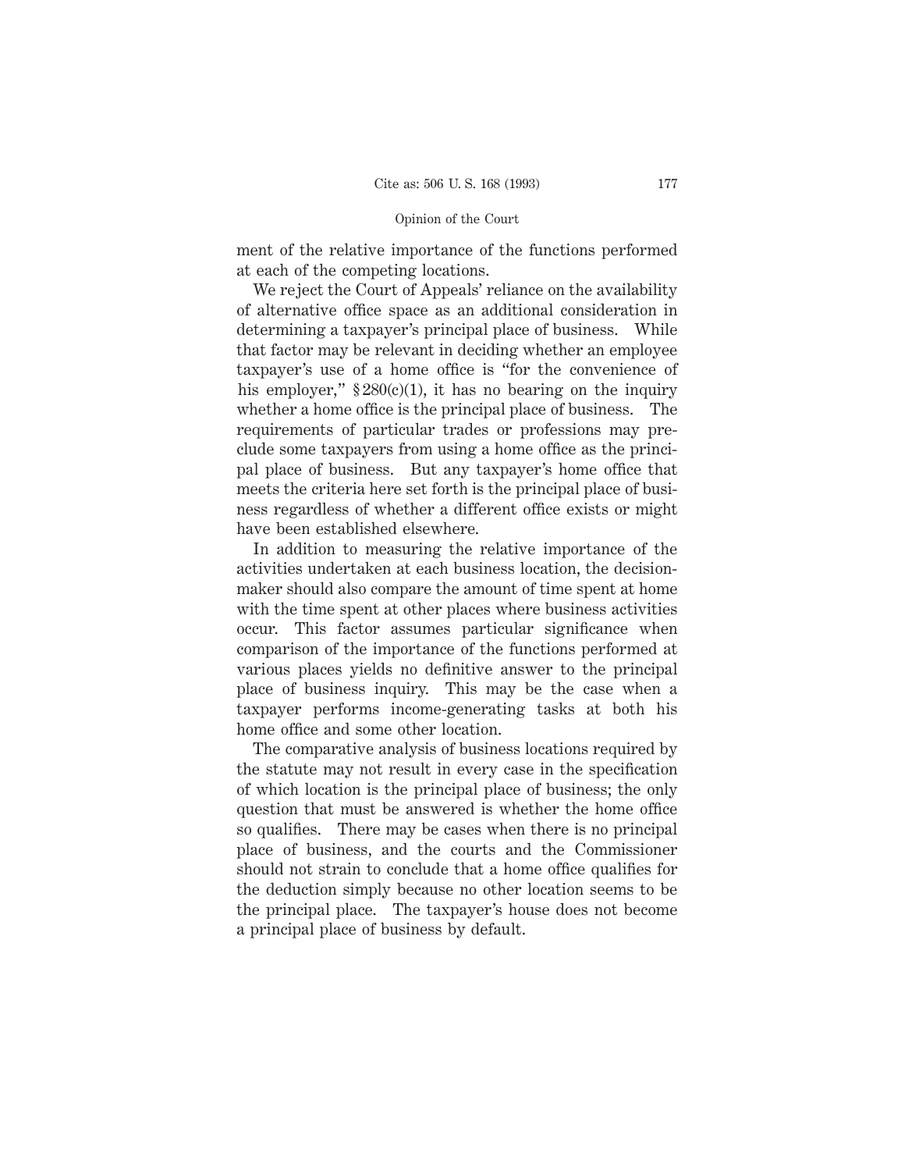ment of the relative importance of the functions performed at each of the competing locations.

We reject the Court of Appeals' reliance on the availability of alternative office space as an additional consideration in determining a taxpayer's principal place of business. While that factor may be relevant in deciding whether an employee taxpayer's use of a home office is "for the convenience of his employer,"  $\S 280(c)(1)$ , it has no bearing on the inquiry whether a home office is the principal place of business. The requirements of particular trades or professions may preclude some taxpayers from using a home office as the principal place of business. But any taxpayer's home office that meets the criteria here set forth is the principal place of business regardless of whether a different office exists or might have been established elsewhere.

In addition to measuring the relative importance of the activities undertaken at each business location, the decisionmaker should also compare the amount of time spent at home with the time spent at other places where business activities occur. This factor assumes particular significance when comparison of the importance of the functions performed at various places yields no definitive answer to the principal place of business inquiry. This may be the case when a taxpayer performs income-generating tasks at both his home office and some other location.

The comparative analysis of business locations required by the statute may not result in every case in the specification of which location is the principal place of business; the only question that must be answered is whether the home office so qualifies. There may be cases when there is no principal place of business, and the courts and the Commissioner should not strain to conclude that a home office qualifies for the deduction simply because no other location seems to be the principal place. The taxpayer's house does not become a principal place of business by default.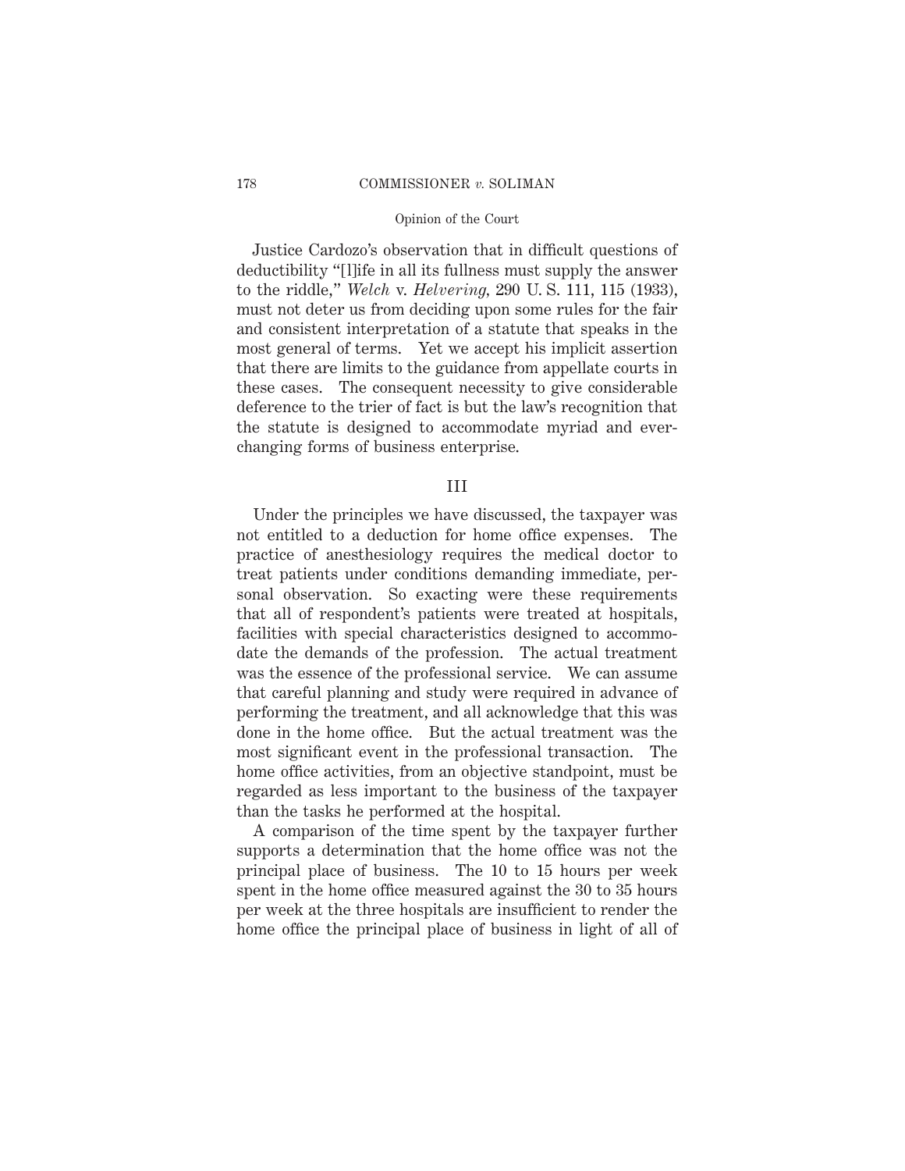### 178 COMMISSIONER *v.* SOLIMAN

### Opinion of the Court

Justice Cardozo's observation that in difficult questions of deductibility "[l]ife in all its fullness must supply the answer to the riddle," *Welch* v. *Helvering,* 290 U. S. 111, 115 (1933), must not deter us from deciding upon some rules for the fair and consistent interpretation of a statute that speaks in the most general of terms. Yet we accept his implicit assertion that there are limits to the guidance from appellate courts in these cases. The consequent necessity to give considerable deference to the trier of fact is but the law's recognition that the statute is designed to accommodate myriad and everchanging forms of business enterprise.

### III

Under the principles we have discussed, the taxpayer was not entitled to a deduction for home office expenses. The practice of anesthesiology requires the medical doctor to treat patients under conditions demanding immediate, personal observation. So exacting were these requirements that all of respondent's patients were treated at hospitals, facilities with special characteristics designed to accommodate the demands of the profession. The actual treatment was the essence of the professional service. We can assume that careful planning and study were required in advance of performing the treatment, and all acknowledge that this was done in the home office. But the actual treatment was the most significant event in the professional transaction. The home office activities, from an objective standpoint, must be regarded as less important to the business of the taxpayer than the tasks he performed at the hospital.

A comparison of the time spent by the taxpayer further supports a determination that the home office was not the principal place of business. The 10 to 15 hours per week spent in the home office measured against the 30 to 35 hours per week at the three hospitals are insufficient to render the home office the principal place of business in light of all of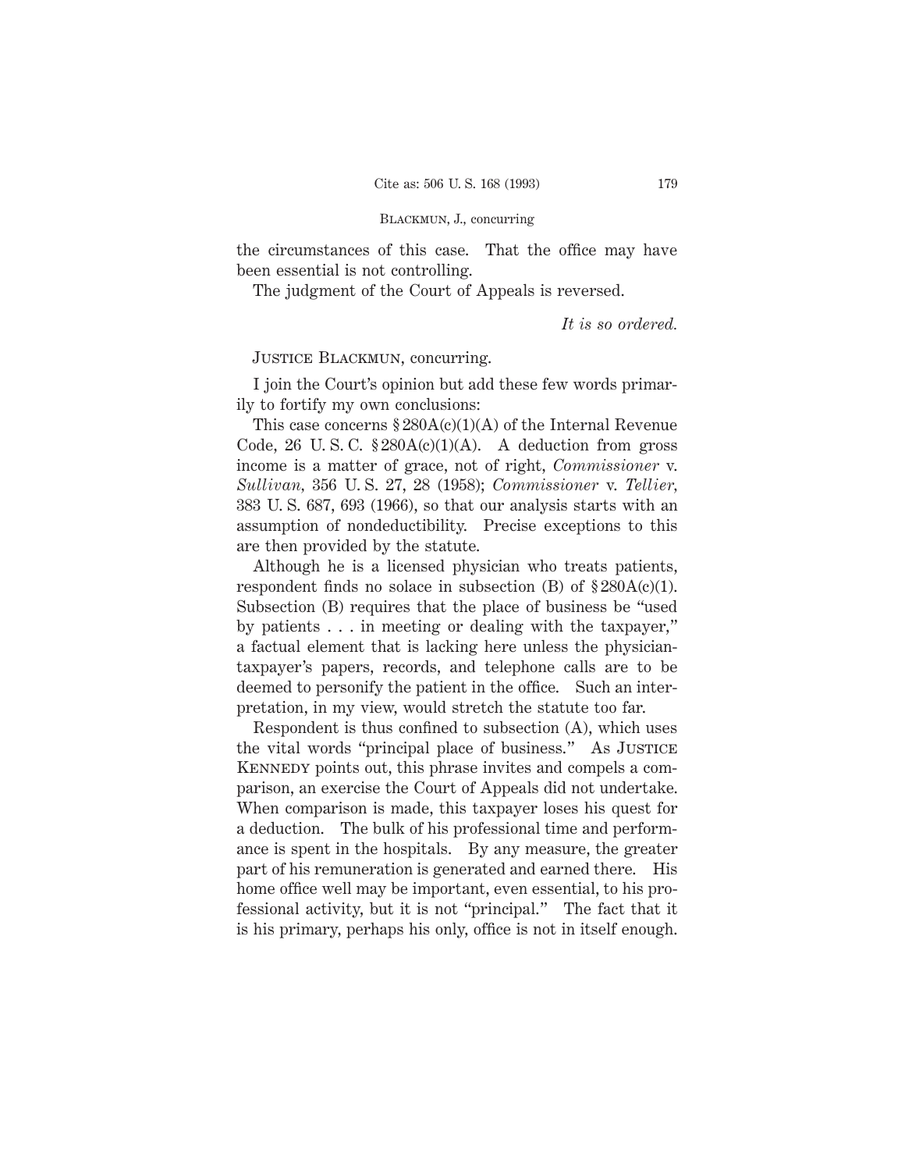# Blackmun, J., concurring

the circumstances of this case. That the office may have been essential is not controlling.

The judgment of the Court of Appeals is reversed.

*It is so ordered.*

# Justice Blackmun, concurring.

I join the Court's opinion but add these few words primarily to fortify my own conclusions:

This case concerns  $\S 280A(c)(1)(A)$  of the Internal Revenue Code, 26 U.S.C.  $$280A(c)(1)(A)$ . A deduction from gross income is a matter of grace, not of right, *Commissioner* v. *Sullivan,* 356 U. S. 27, 28 (1958); *Commissioner* v. *Tellier,* 383 U. S. 687, 693 (1966), so that our analysis starts with an assumption of nondeductibility. Precise exceptions to this are then provided by the statute.

Although he is a licensed physician who treats patients, respondent finds no solace in subsection (B) of  $\S 280A(c)(1)$ . Subsection (B) requires that the place of business be "used by patients . . . in meeting or dealing with the taxpayer," a factual element that is lacking here unless the physiciantaxpayer's papers, records, and telephone calls are to be deemed to personify the patient in the office. Such an interpretation, in my view, would stretch the statute too far.

Respondent is thus confined to subsection (A), which uses the vital words "principal place of business." As JUSTICE Kennedy points out, this phrase invites and compels a comparison, an exercise the Court of Appeals did not undertake. When comparison is made, this taxpayer loses his quest for a deduction. The bulk of his professional time and performance is spent in the hospitals. By any measure, the greater part of his remuneration is generated and earned there. His home office well may be important, even essential, to his professional activity, but it is not "principal." The fact that it is his primary, perhaps his only, office is not in itself enough.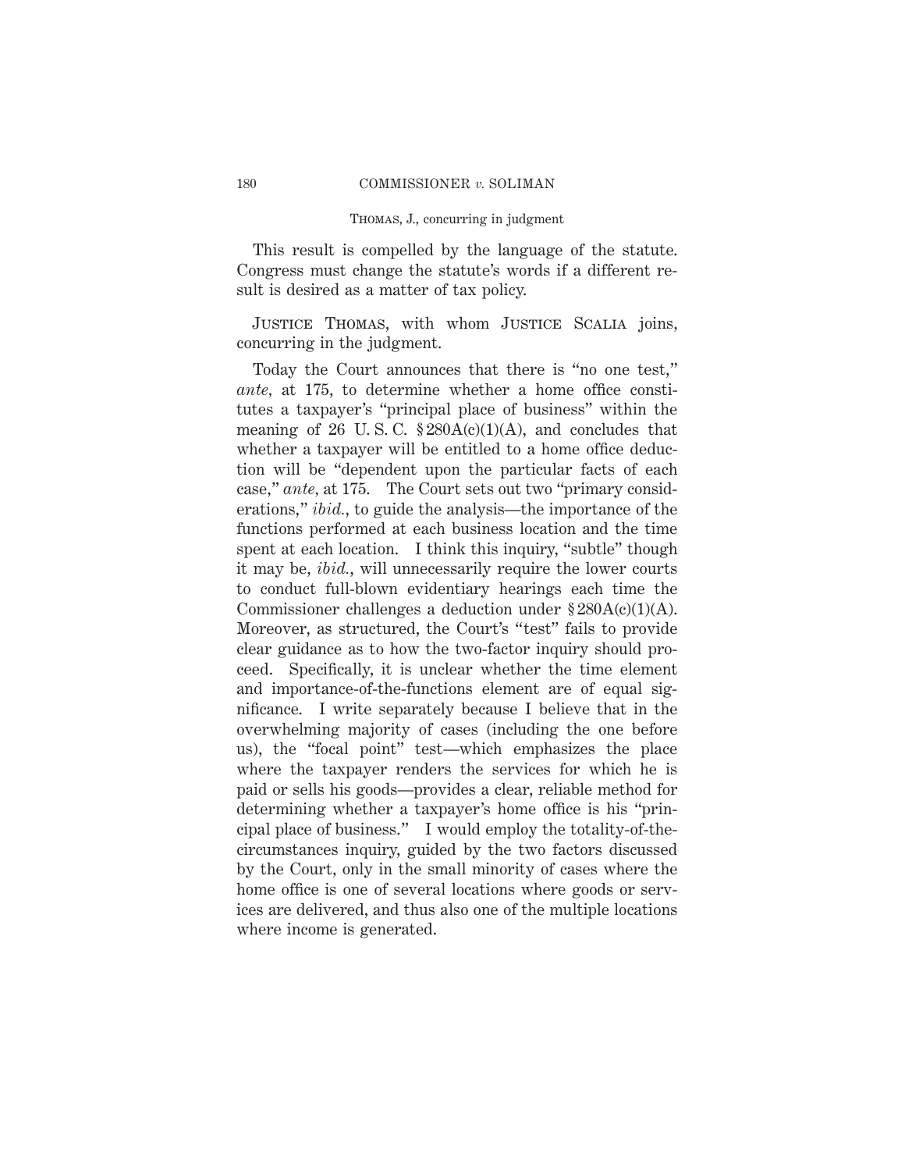This result is compelled by the language of the statute. Congress must change the statute's words if a different result is desired as a matter of tax policy.

Justice Thomas, with whom Justice Scalia joins, concurring in the judgment.

Today the Court announces that there is "no one test," *ante,* at 175, to determine whether a home office constitutes a taxpayer's "principal place of business" within the meaning of 26 U.S.C.  $$280A(c)(1)(A)$ , and concludes that whether a taxpayer will be entitled to a home office deduction will be "dependent upon the particular facts of each case," *ante,* at 175. The Court sets out two "primary considerations," *ibid.*, to guide the analysis—the importance of the functions performed at each business location and the time spent at each location. I think this inquiry, "subtle" though it may be, *ibid.*, will unnecessarily require the lower courts to conduct full-blown evidentiary hearings each time the Commissioner challenges a deduction under  $§280A(c)(1)(A)$ . Moreover, as structured, the Court's "test" fails to provide clear guidance as to how the two-factor inquiry should proceed. Specifically, it is unclear whether the time element and importance-of-the-functions element are of equal significance. I write separately because I believe that in the overwhelming majority of cases (including the one before us), the "focal point" test—which emphasizes the place where the taxpayer renders the services for which he is paid or sells his goods—provides a clear, reliable method for determining whether a taxpayer's home office is his "principal place of business." I would employ the totality-of-thecircumstances inquiry, guided by the two factors discussed by the Court, only in the small minority of cases where the home office is one of several locations where goods or services are delivered, and thus also one of the multiple locations where income is generated.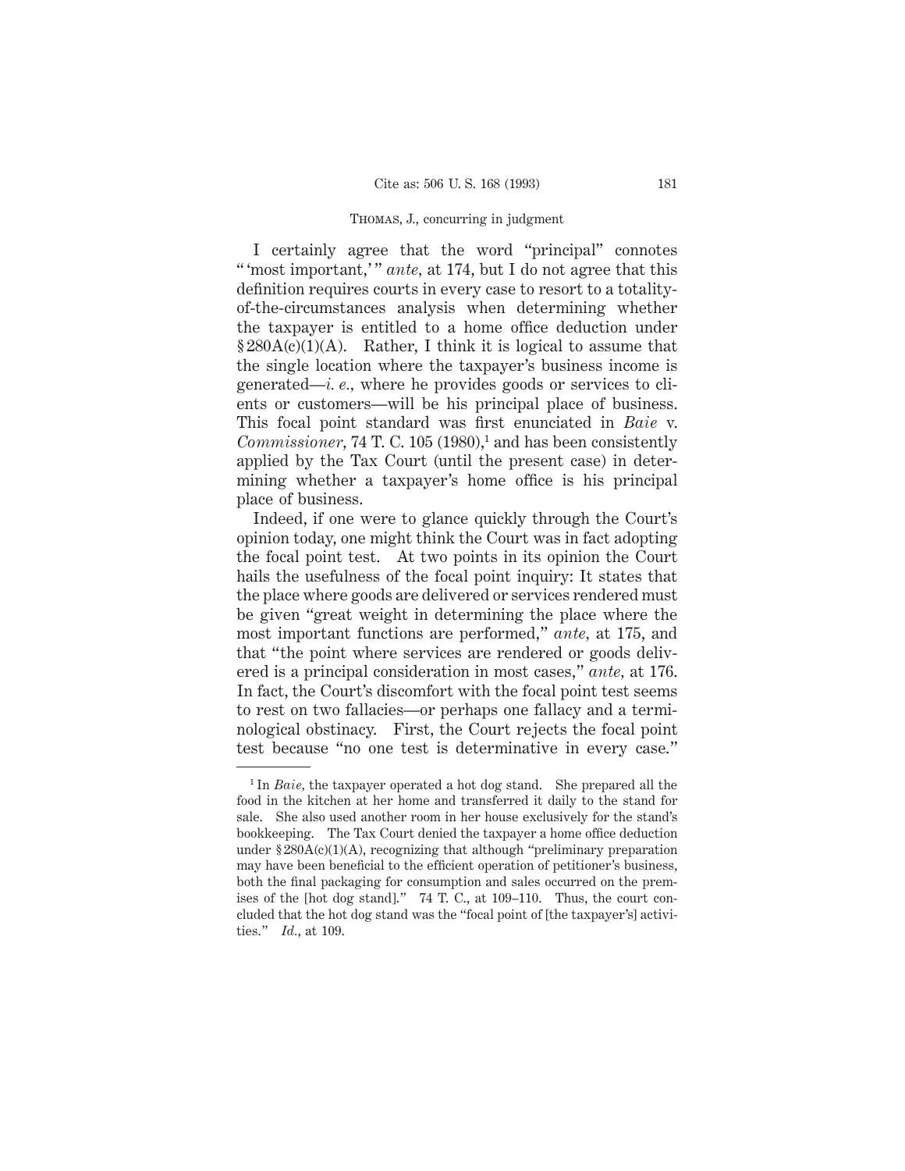I certainly agree that the word "principal" connotes "'most important,'" ante, at 174, but I do not agree that this definition requires courts in every case to resort to a totalityof-the-circumstances analysis when determining whether the taxpayer is entitled to a home office deduction under  $§ 280A(c)(1)(A)$ . Rather, I think it is logical to assume that the single location where the taxpayer's business income is generated—*i. e.,* where he provides goods or services to clients or customers—will be his principal place of business. This focal point standard was first enunciated in *Baie* v. *Commissioner*, 74 T. C.  $105 (1980)$ ,<sup>1</sup> and has been consistently applied by the Tax Court (until the present case) in determining whether a taxpayer's home office is his principal place of business.

Indeed, if one were to glance quickly through the Court's opinion today, one might think the Court was in fact adopting the focal point test. At two points in its opinion the Court hails the usefulness of the focal point inquiry: It states that the place where goods are delivered or services rendered must be given "great weight in determining the place where the most important functions are performed," *ante,* at 175, and that "the point where services are rendered or goods delivered is a principal consideration in most cases," *ante,* at 176. In fact, the Court's discomfort with the focal point test seems to rest on two fallacies—or perhaps one fallacy and a terminological obstinacy. First, the Court rejects the focal point test because "no one test is determinative in every case."

<sup>&</sup>lt;sup>1</sup> In *Baie*, the taxpayer operated a hot dog stand. She prepared all the food in the kitchen at her home and transferred it daily to the stand for sale. She also used another room in her house exclusively for the stand's bookkeeping. The Tax Court denied the taxpayer a home office deduction under  $$280A(c)(1)(A)$ , recognizing that although "preliminary preparation" may have been beneficial to the efficient operation of petitioner's business, both the final packaging for consumption and sales occurred on the premises of the [hot dog stand]." 74 T. C., at 109–110. Thus, the court concluded that the hot dog stand was the "focal point of [the taxpayer's] activities." *Id.*, at 109.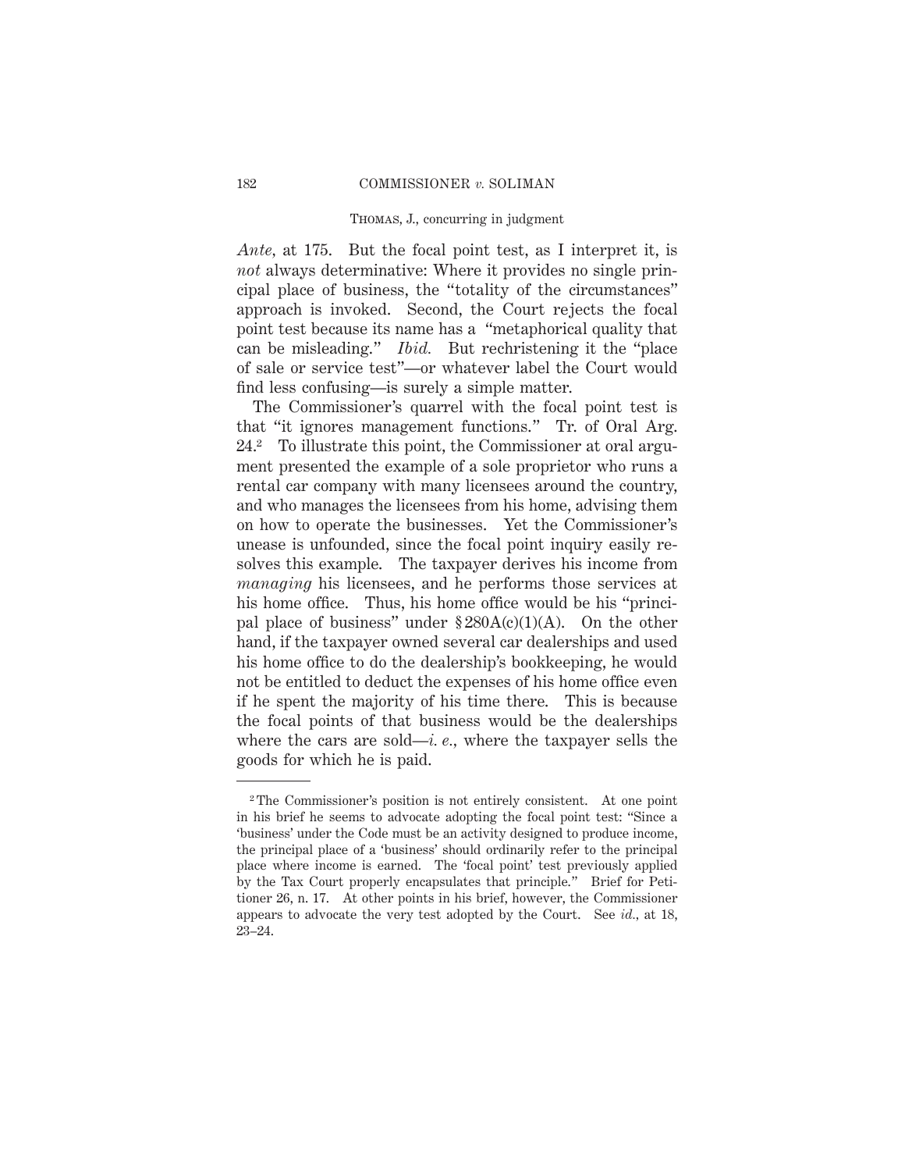*Ante,* at 175. But the focal point test, as I interpret it, is *not* always determinative: Where it provides no single principal place of business, the "totality of the circumstances" approach is invoked. Second, the Court rejects the focal point test because its name has a "metaphorical quality that can be misleading." *Ibid.* But rechristening it the "place of sale or service test"—or whatever label the Court would find less confusing—is surely a simple matter.

The Commissioner's quarrel with the focal point test is that "it ignores management functions." Tr. of Oral Arg. 24.2 To illustrate this point, the Commissioner at oral argument presented the example of a sole proprietor who runs a rental car company with many licensees around the country, and who manages the licensees from his home, advising them on how to operate the businesses. Yet the Commissioner's unease is unfounded, since the focal point inquiry easily resolves this example. The taxpayer derives his income from *managing* his licensees, and he performs those services at his home office. Thus, his home office would be his "principal place of business" under  $\S 280A(c)(1)(A)$ . On the other hand, if the taxpayer owned several car dealerships and used his home office to do the dealership's bookkeeping, he would not be entitled to deduct the expenses of his home office even if he spent the majority of his time there. This is because the focal points of that business would be the dealerships where the cars are sold—*i. e.,* where the taxpayer sells the goods for which he is paid.

<sup>2</sup> The Commissioner's position is not entirely consistent. At one point in his brief he seems to advocate adopting the focal point test: "Since a 'business' under the Code must be an activity designed to produce income, the principal place of a 'business' should ordinarily refer to the principal place where income is earned. The 'focal point' test previously applied by the Tax Court properly encapsulates that principle." Brief for Petitioner 26, n. 17. At other points in his brief, however, the Commissioner appears to advocate the very test adopted by the Court. See *id.,* at 18, 23–24.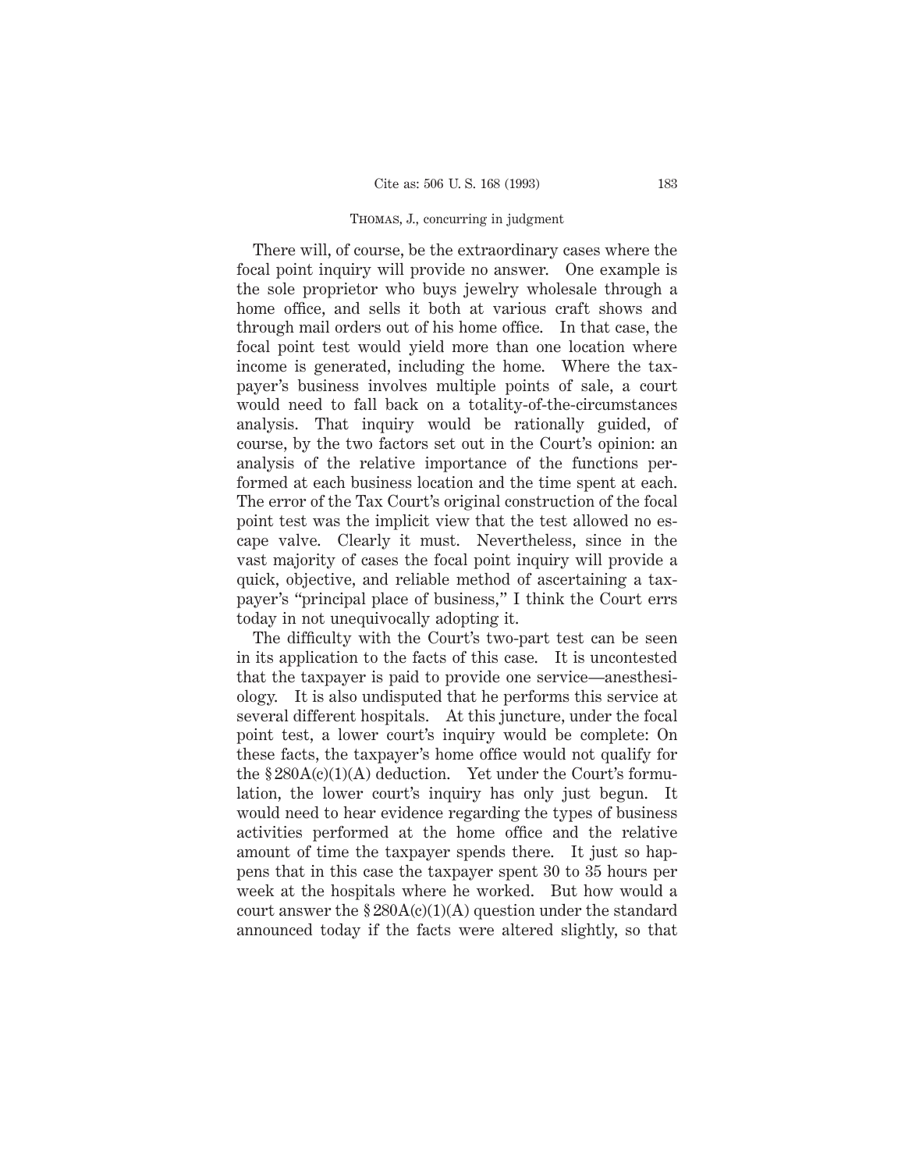There will, of course, be the extraordinary cases where the focal point inquiry will provide no answer. One example is the sole proprietor who buys jewelry wholesale through a home office, and sells it both at various craft shows and through mail orders out of his home office. In that case, the focal point test would yield more than one location where income is generated, including the home. Where the taxpayer's business involves multiple points of sale, a court would need to fall back on a totality-of-the-circumstances analysis. That inquiry would be rationally guided, of course, by the two factors set out in the Court's opinion: an analysis of the relative importance of the functions performed at each business location and the time spent at each. The error of the Tax Court's original construction of the focal point test was the implicit view that the test allowed no escape valve. Clearly it must. Nevertheless, since in the vast majority of cases the focal point inquiry will provide a quick, objective, and reliable method of ascertaining a taxpayer's "principal place of business," I think the Court errs today in not unequivocally adopting it.

The difficulty with the Court's two-part test can be seen in its application to the facts of this case. It is uncontested that the taxpayer is paid to provide one service—anesthesiology. It is also undisputed that he performs this service at several different hospitals. At this juncture, under the focal point test, a lower court's inquiry would be complete: On these facts, the taxpayer's home office would not qualify for the  $\S 280A(c)(1)(A)$  deduction. Yet under the Court's formulation, the lower court's inquiry has only just begun. It would need to hear evidence regarding the types of business activities performed at the home office and the relative amount of time the taxpayer spends there. It just so happens that in this case the taxpayer spent 30 to 35 hours per week at the hospitals where he worked. But how would a court answer the  $$280A(c)(1)(A)$  question under the standard announced today if the facts were altered slightly, so that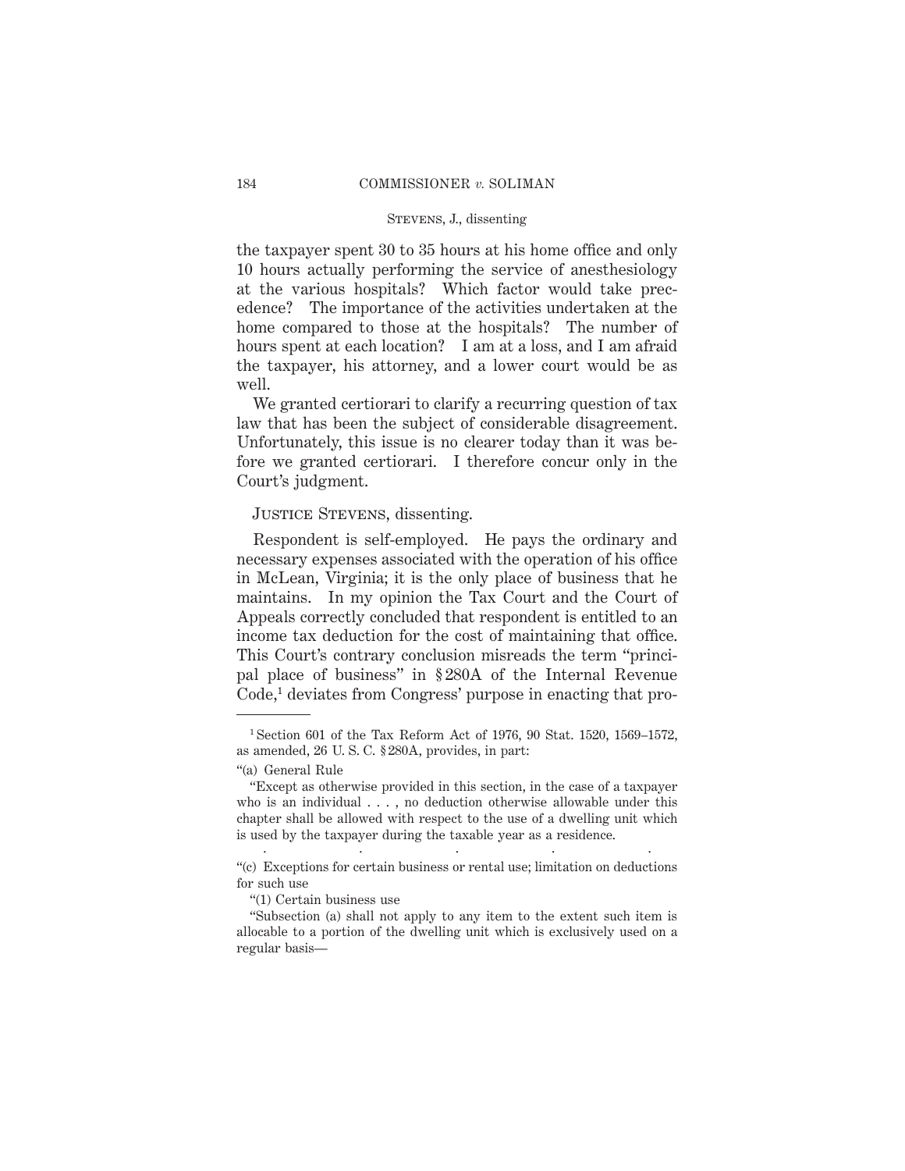the taxpayer spent 30 to 35 hours at his home office and only 10 hours actually performing the service of anesthesiology at the various hospitals? Which factor would take precedence? The importance of the activities undertaken at the home compared to those at the hospitals? The number of hours spent at each location? I am at a loss, and I am afraid the taxpayer, his attorney, and a lower court would be as well.

We granted certiorari to clarify a recurring question of tax law that has been the subject of considerable disagreement. Unfortunately, this issue is no clearer today than it was before we granted certiorari. I therefore concur only in the Court's judgment.

# Justice Stevens, dissenting.

Respondent is self-employed. He pays the ordinary and necessary expenses associated with the operation of his office in McLean, Virginia; it is the only place of business that he maintains. In my opinion the Tax Court and the Court of Appeals correctly concluded that respondent is entitled to an income tax deduction for the cost of maintaining that office. This Court's contrary conclusion misreads the term "principal place of business" in § 280A of the Internal Revenue Code,<sup>1</sup> deviates from Congress' purpose in enacting that pro-

#### "(a) General Rule

<sup>1</sup> Section 601 of the Tax Reform Act of 1976, 90 Stat. 1520, 1569–1572, as amended, 26 U. S. C. § 280A, provides, in part:

<sup>&</sup>quot;Except as otherwise provided in this section, in the case of a taxpayer who is an individual . . . , no deduction otherwise allowable under this chapter shall be allowed with respect to the use of a dwelling unit which is used by the taxpayer during the taxable year as a residence. .....

<sup>&</sup>quot;(c) Exceptions for certain business or rental use; limitation on deductions for such use

<sup>&</sup>quot;(1) Certain business use

<sup>&</sup>quot;Subsection (a) shall not apply to any item to the extent such item is allocable to a portion of the dwelling unit which is exclusively used on a regular basis—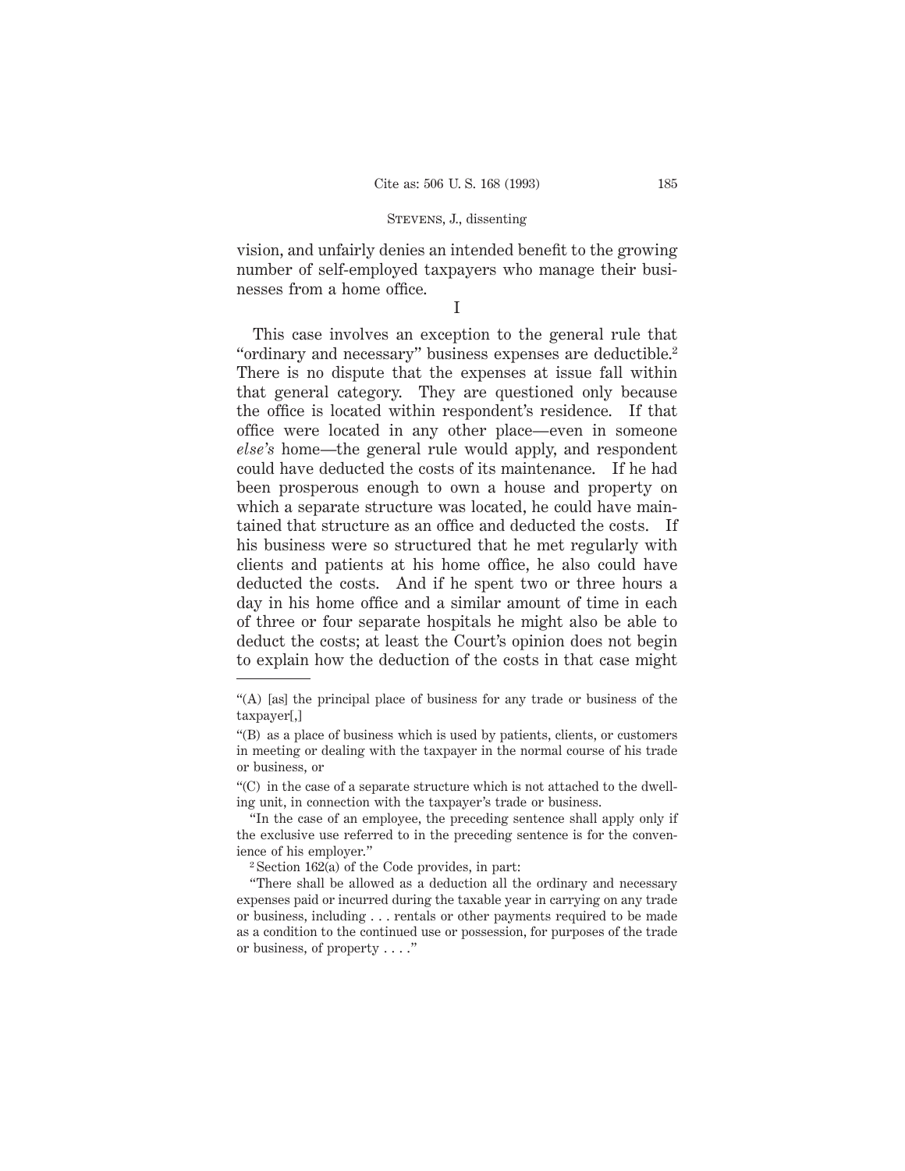vision, and unfairly denies an intended benefit to the growing number of self-employed taxpayers who manage their businesses from a home office.

I

This case involves an exception to the general rule that "ordinary and necessary" business expenses are deductible.2 There is no dispute that the expenses at issue fall within that general category. They are questioned only because the office is located within respondent's residence. If that office were located in any other place—even in someone *else's* home—the general rule would apply, and respondent could have deducted the costs of its maintenance. If he had been prosperous enough to own a house and property on which a separate structure was located, he could have maintained that structure as an office and deducted the costs. If his business were so structured that he met regularly with clients and patients at his home office, he also could have deducted the costs. And if he spent two or three hours a day in his home office and a similar amount of time in each of three or four separate hospitals he might also be able to deduct the costs; at least the Court's opinion does not begin to explain how the deduction of the costs in that case might

<sup>&</sup>quot;(A) [as] the principal place of business for any trade or business of the taxpayer[,]

<sup>&</sup>quot;(B) as a place of business which is used by patients, clients, or customers in meeting or dealing with the taxpayer in the normal course of his trade or business, or

<sup>&</sup>quot;(C) in the case of a separate structure which is not attached to the dwelling unit, in connection with the taxpayer's trade or business.

<sup>&</sup>quot;In the case of an employee, the preceding sentence shall apply only if the exclusive use referred to in the preceding sentence is for the convenience of his employer."

<sup>2</sup> Section 162(a) of the Code provides, in part:

<sup>&</sup>quot;There shall be allowed as a deduction all the ordinary and necessary expenses paid or incurred during the taxable year in carrying on any trade or business, including . . . rentals or other payments required to be made as a condition to the continued use or possession, for purposes of the trade or business, of property . . . ."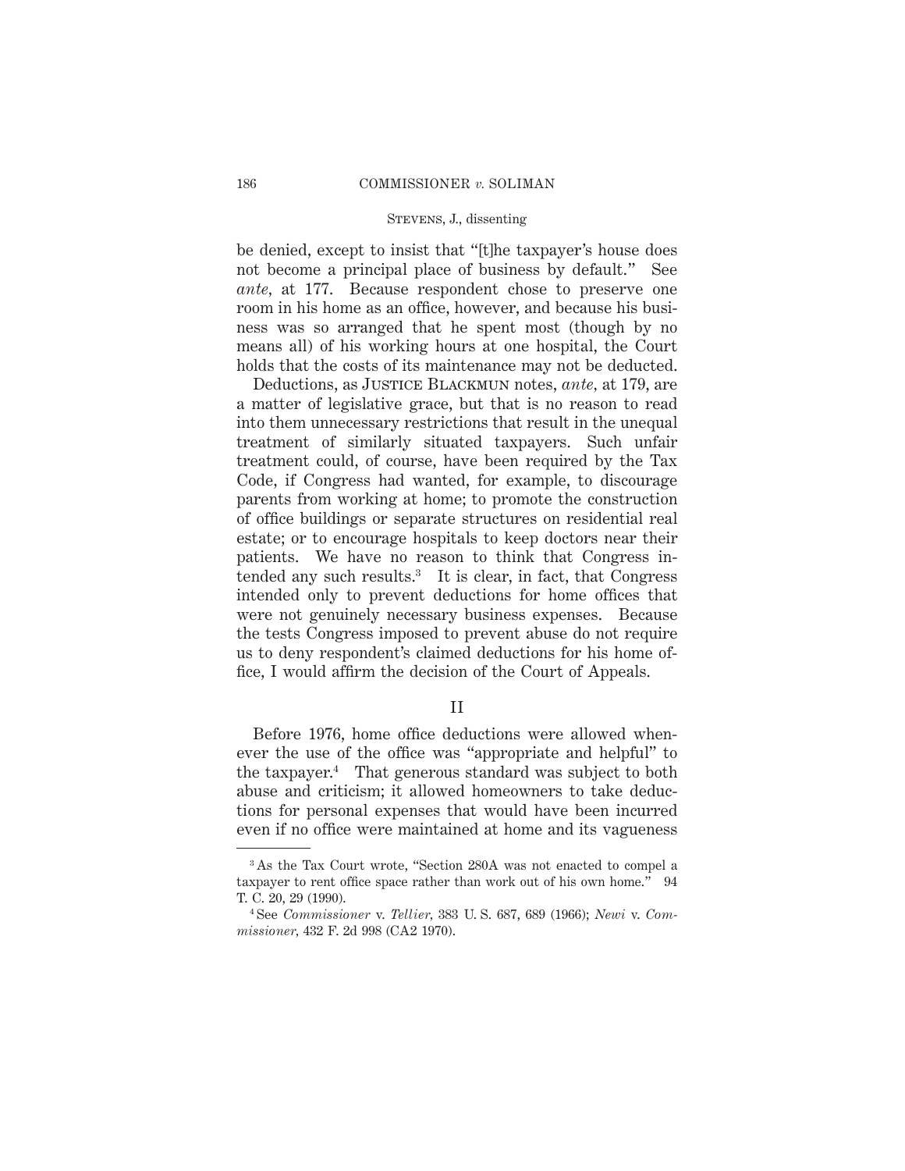be denied, except to insist that "[t]he taxpayer's house does not become a principal place of business by default." See *ante,* at 177. Because respondent chose to preserve one room in his home as an office, however, and because his business was so arranged that he spent most (though by no means all) of his working hours at one hospital, the Court holds that the costs of its maintenance may not be deducted.

Deductions, as Justice Blackmun notes, *ante,* at 179, are a matter of legislative grace, but that is no reason to read into them unnecessary restrictions that result in the unequal treatment of similarly situated taxpayers. Such unfair treatment could, of course, have been required by the Tax Code, if Congress had wanted, for example, to discourage parents from working at home; to promote the construction of office buildings or separate structures on residential real estate; or to encourage hospitals to keep doctors near their patients. We have no reason to think that Congress intended any such results.3 It is clear, in fact, that Congress intended only to prevent deductions for home offices that were not genuinely necessary business expenses. Because the tests Congress imposed to prevent abuse do not require us to deny respondent's claimed deductions for his home office, I would affirm the decision of the Court of Appeals.

II

Before 1976, home office deductions were allowed whenever the use of the office was "appropriate and helpful" to the taxpayer.4 That generous standard was subject to both abuse and criticism; it allowed homeowners to take deductions for personal expenses that would have been incurred even if no office were maintained at home and its vagueness

<sup>3</sup> As the Tax Court wrote, "Section 280A was not enacted to compel a taxpayer to rent office space rather than work out of his own home." 94 T. C. 20, 29 (1990).

<sup>4</sup> See *Commissioner* v. *Tellier,* 383 U. S. 687, 689 (1966); *Newi* v. *Commissioner,* 432 F. 2d 998 (CA2 1970).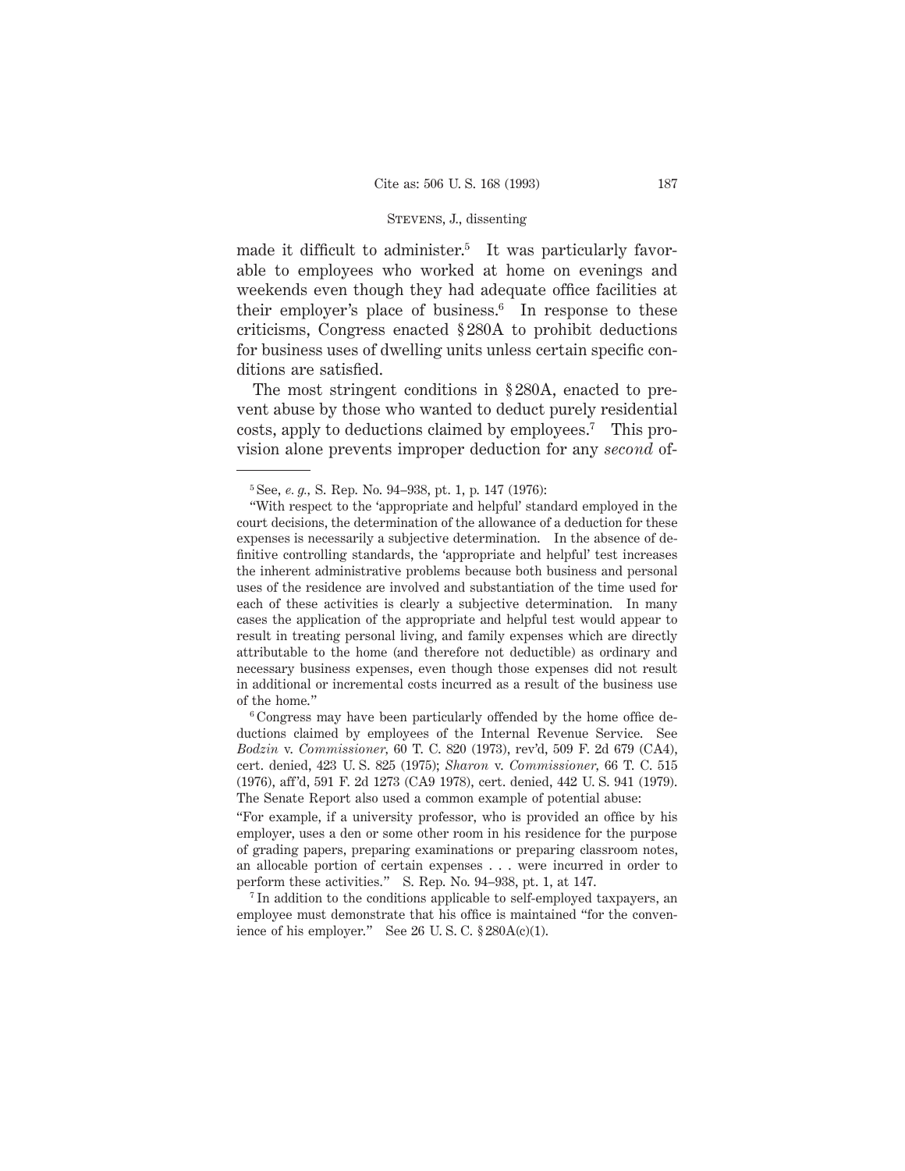made it difficult to administer.<sup>5</sup> It was particularly favorable to employees who worked at home on evenings and weekends even though they had adequate office facilities at their employer's place of business. $6$  In response to these criticisms, Congress enacted § 280A to prohibit deductions for business uses of dwelling units unless certain specific conditions are satisfied.

The most stringent conditions in § 280A, enacted to prevent abuse by those who wanted to deduct purely residential costs, apply to deductions claimed by employees.7 This provision alone prevents improper deduction for any *second* of-

<sup>5</sup> See, *e. g.,* S. Rep. No. 94–938, pt. 1, p. 147 (1976):

<sup>&</sup>quot;With respect to the 'appropriate and helpful' standard employed in the court decisions, the determination of the allowance of a deduction for these expenses is necessarily a subjective determination. In the absence of definitive controlling standards, the 'appropriate and helpful' test increases the inherent administrative problems because both business and personal uses of the residence are involved and substantiation of the time used for each of these activities is clearly a subjective determination. In many cases the application of the appropriate and helpful test would appear to result in treating personal living, and family expenses which are directly attributable to the home (and therefore not deductible) as ordinary and necessary business expenses, even though those expenses did not result in additional or incremental costs incurred as a result of the business use of the home."

<sup>6</sup> Congress may have been particularly offended by the home office deductions claimed by employees of the Internal Revenue Service. See *Bodzin* v. *Commissioner,* 60 T. C. 820 (1973), rev'd, 509 F. 2d 679 (CA4), cert. denied, 423 U. S. 825 (1975); *Sharon* v. *Commissioner,* 66 T. C. 515 (1976), aff'd, 591 F. 2d 1273 (CA9 1978), cert. denied, 442 U. S. 941 (1979). The Senate Report also used a common example of potential abuse:

<sup>&</sup>quot;For example, if a university professor, who is provided an office by his employer, uses a den or some other room in his residence for the purpose of grading papers, preparing examinations or preparing classroom notes, an allocable portion of certain expenses . . . were incurred in order to perform these activities." S. Rep. No. 94–938, pt. 1, at 147.

<sup>&</sup>lt;sup>7</sup> In addition to the conditions applicable to self-employed taxpayers, an employee must demonstrate that his office is maintained "for the convenience of his employer." See 26 U.S.C.  $$280A(c)(1)$ .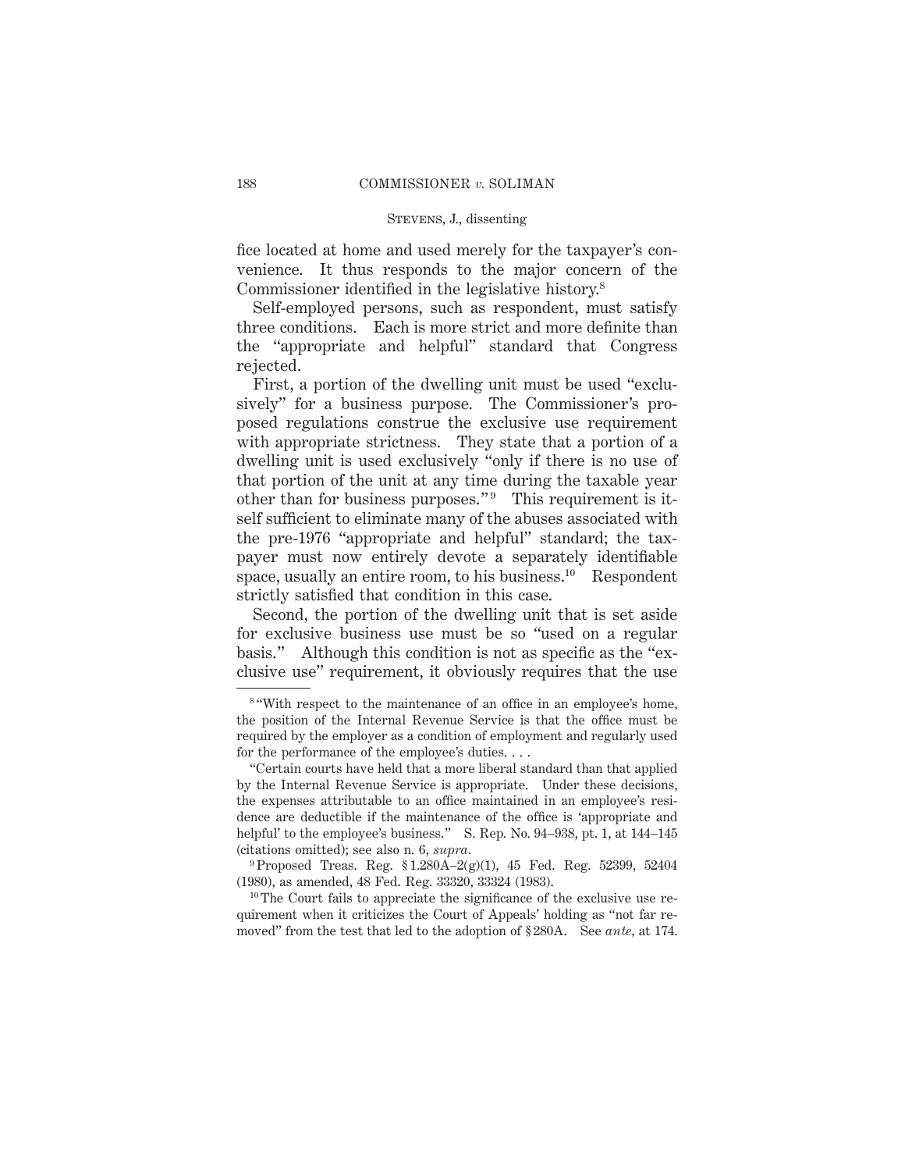fice located at home and used merely for the taxpayer's convenience. It thus responds to the major concern of the Commissioner identified in the legislative history.8

Self-employed persons, such as respondent, must satisfy three conditions. Each is more strict and more definite than the "appropriate and helpful" standard that Congress rejected.

First, a portion of the dwelling unit must be used "exclusively" for a business purpose. The Commissioner's proposed regulations construe the exclusive use requirement with appropriate strictness. They state that a portion of a dwelling unit is used exclusively "only if there is no use of that portion of the unit at any time during the taxable year other than for business purposes."<sup>9</sup> This requirement is itself sufficient to eliminate many of the abuses associated with the pre-1976 "appropriate and helpful" standard; the taxpayer must now entirely devote a separately identifiable space, usually an entire room, to his business.<sup>10</sup> Respondent strictly satisfied that condition in this case.

Second, the portion of the dwelling unit that is set aside for exclusive business use must be so "used on a regular basis." Although this condition is not as specific as the "exclusive use" requirement, it obviously requires that the use

<sup>&</sup>lt;sup>8</sup> "With respect to the maintenance of an office in an employee's home, the position of the Internal Revenue Service is that the office must be required by the employer as a condition of employment and regularly used for the performance of the employee's duties....

<sup>&</sup>quot;Certain courts have held that a more liberal standard than that applied by the Internal Revenue Service is appropriate. Under these decisions, the expenses attributable to an office maintained in an employee's residence are deductible if the maintenance of the office is 'appropriate and helpful' to the employee's business." S. Rep. No. 94–938, pt. 1, at 144–145 (citations omitted); see also n. 6, *supra.*

<sup>&</sup>lt;sup>9</sup> Proposed Treas. Reg.  $$1,280A-2(g)(1)$ , 45 Fed. Reg. 52399, 52404 (1980), as amended, 48 Fed. Reg. 33320, 33324 (1983).

<sup>&</sup>lt;sup>10</sup> The Court fails to appreciate the significance of the exclusive use requirement when it criticizes the Court of Appeals' holding as "not far removed" from the test that led to the adoption of § 280A. See *ante,* at 174.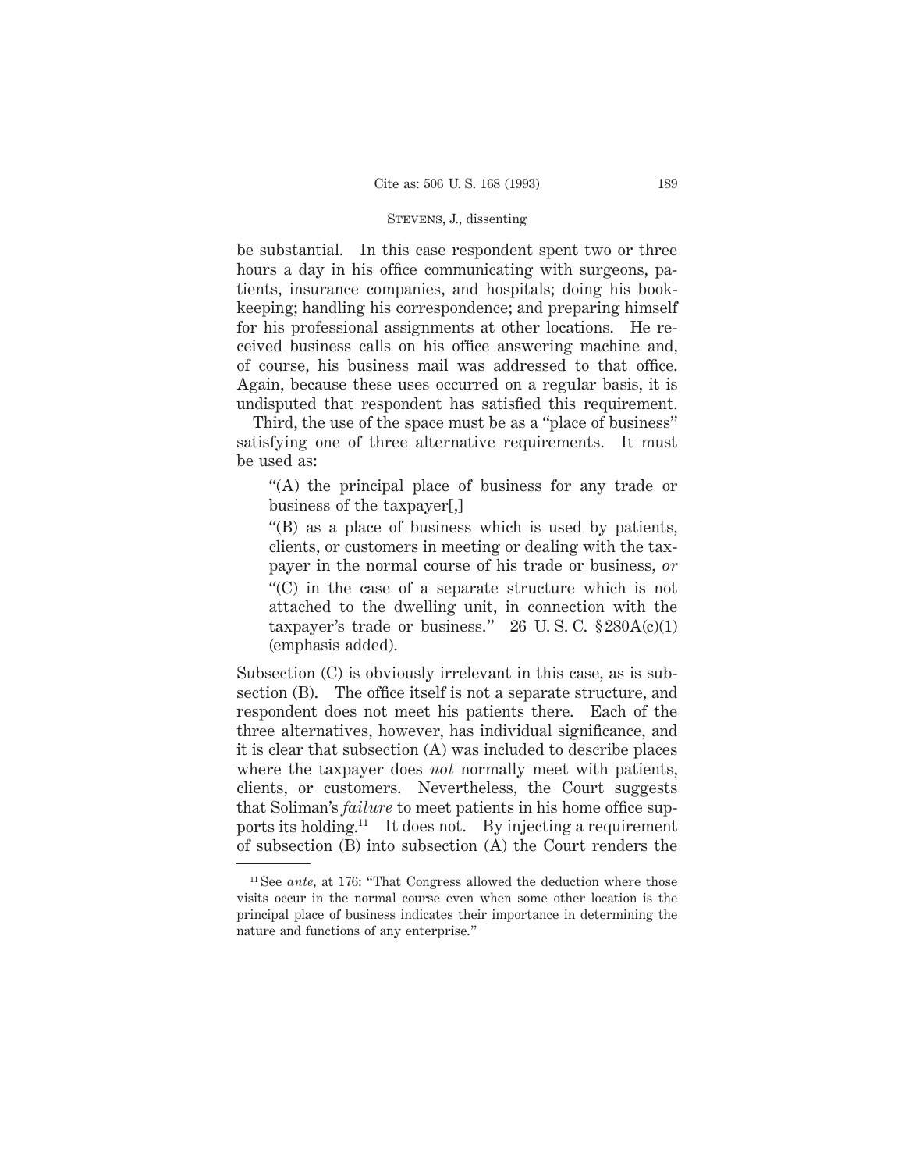be substantial. In this case respondent spent two or three hours a day in his office communicating with surgeons, patients, insurance companies, and hospitals; doing his bookkeeping; handling his correspondence; and preparing himself for his professional assignments at other locations. He received business calls on his office answering machine and, of course, his business mail was addressed to that office. Again, because these uses occurred on a regular basis, it is undisputed that respondent has satisfied this requirement.

Third, the use of the space must be as a "place of business" satisfying one of three alternative requirements. It must be used as:

"(A) the principal place of business for any trade or business of the taxpayer[,]

"(B) as a place of business which is used by patients, clients, or customers in meeting or dealing with the taxpayer in the normal course of his trade or business, *or* "(C) in the case of a separate structure which is not attached to the dwelling unit, in connection with the taxpayer's trade or business." 26 U.S.C.  $\S 280A(c)(1)$ (emphasis added).

Subsection (C) is obviously irrelevant in this case, as is subsection (B). The office itself is not a separate structure, and respondent does not meet his patients there. Each of the three alternatives, however, has individual significance, and it is clear that subsection (A) was included to describe places where the taxpayer does *not* normally meet with patients, clients, or customers. Nevertheless, the Court suggests that Soliman's *failure* to meet patients in his home office supports its holding.11 It does not. By injecting a requirement of subsection (B) into subsection (A) the Court renders the

<sup>11</sup> See *ante,* at 176: "That Congress allowed the deduction where those visits occur in the normal course even when some other location is the principal place of business indicates their importance in determining the nature and functions of any enterprise."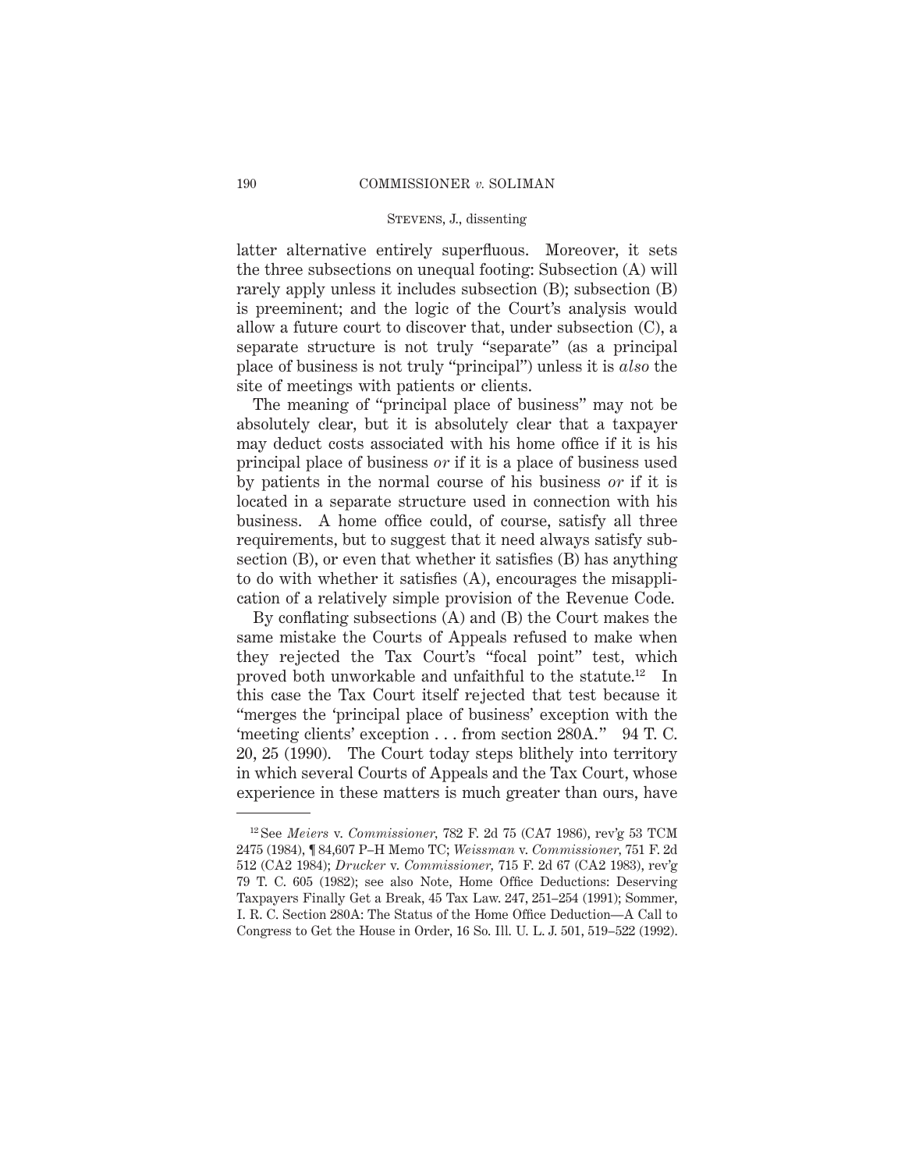latter alternative entirely superfluous. Moreover, it sets the three subsections on unequal footing: Subsection (A) will rarely apply unless it includes subsection (B); subsection (B) is preeminent; and the logic of the Court's analysis would allow a future court to discover that, under subsection (C), a separate structure is not truly "separate" (as a principal place of business is not truly "principal") unless it is *also* the site of meetings with patients or clients.

The meaning of "principal place of business" may not be absolutely clear, but it is absolutely clear that a taxpayer may deduct costs associated with his home office if it is his principal place of business *or* if it is a place of business used by patients in the normal course of his business *or* if it is located in a separate structure used in connection with his business. A home office could, of course, satisfy all three requirements, but to suggest that it need always satisfy subsection (B), or even that whether it satisfies (B) has anything to do with whether it satisfies (A), encourages the misapplication of a relatively simple provision of the Revenue Code.

By conflating subsections (A) and (B) the Court makes the same mistake the Courts of Appeals refused to make when they rejected the Tax Court's "focal point" test, which proved both unworkable and unfaithful to the statute.12 In this case the Tax Court itself rejected that test because it "merges the 'principal place of business' exception with the 'meeting clients' exception . . . from section 280A." 94 T. C. 20, 25 (1990). The Court today steps blithely into territory in which several Courts of Appeals and the Tax Court, whose experience in these matters is much greater than ours, have

<sup>12</sup> See *Meiers* v. *Commissioner,* 782 F. 2d 75 (CA7 1986), rev'g 53 TCM 2475 (1984), ¶ 84,607 P–H Memo TC; *Weissman* v. *Commissioner,* 751 F. 2d 512 (CA2 1984); *Drucker* v. *Commissioner,* 715 F. 2d 67 (CA2 1983), rev'g 79 T. C. 605 (1982); see also Note, Home Office Deductions: Deserving Taxpayers Finally Get a Break, 45 Tax Law. 247, 251–254 (1991); Sommer, I. R. C. Section 280A: The Status of the Home Office Deduction—A Call to Congress to Get the House in Order, 16 So. Ill. U. L. J. 501, 519–522 (1992).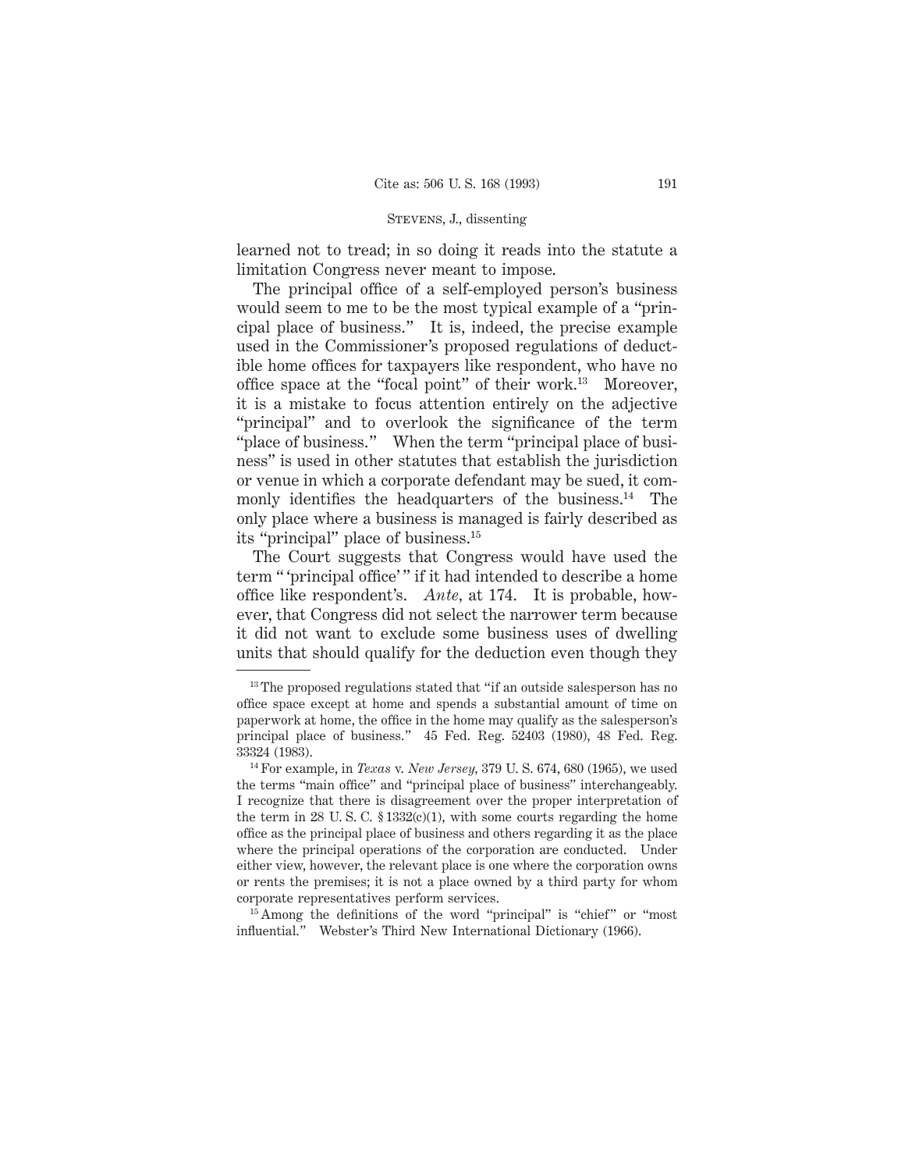learned not to tread; in so doing it reads into the statute a limitation Congress never meant to impose.

The principal office of a self-employed person's business would seem to me to be the most typical example of a "principal place of business." It is, indeed, the precise example used in the Commissioner's proposed regulations of deductible home offices for taxpayers like respondent, who have no office space at the "focal point" of their work.13 Moreover, it is a mistake to focus attention entirely on the adjective "principal" and to overlook the significance of the term "place of business." When the term "principal place of business" is used in other statutes that establish the jurisdiction or venue in which a corporate defendant may be sued, it commonly identifies the headquarters of the business.<sup>14</sup> The only place where a business is managed is fairly described as its "principal" place of business.15

The Court suggests that Congress would have used the term " 'principal office' " if it had intended to describe a home office like respondent's. *Ante,* at 174. It is probable, however, that Congress did not select the narrower term because it did not want to exclude some business uses of dwelling units that should qualify for the deduction even though they

<sup>15</sup> Among the definitions of the word "principal" is "chief" or "most influential." Webster's Third New International Dictionary (1966).

<sup>&</sup>lt;sup>13</sup> The proposed regulations stated that "if an outside salesperson has no office space except at home and spends a substantial amount of time on paperwork at home, the office in the home may qualify as the salesperson's principal place of business." 45 Fed. Reg. 52403 (1980), 48 Fed. Reg. 33324 (1983).

<sup>14</sup> For example, in *Texas* v. *New Jersey,* 379 U. S. 674, 680 (1965), we used the terms "main office" and "principal place of business" interchangeably. I recognize that there is disagreement over the proper interpretation of the term in  $28$  U.S.C.  $\S 1332(c)(1)$ , with some courts regarding the home office as the principal place of business and others regarding it as the place where the principal operations of the corporation are conducted. Under either view, however, the relevant place is one where the corporation owns or rents the premises; it is not a place owned by a third party for whom corporate representatives perform services.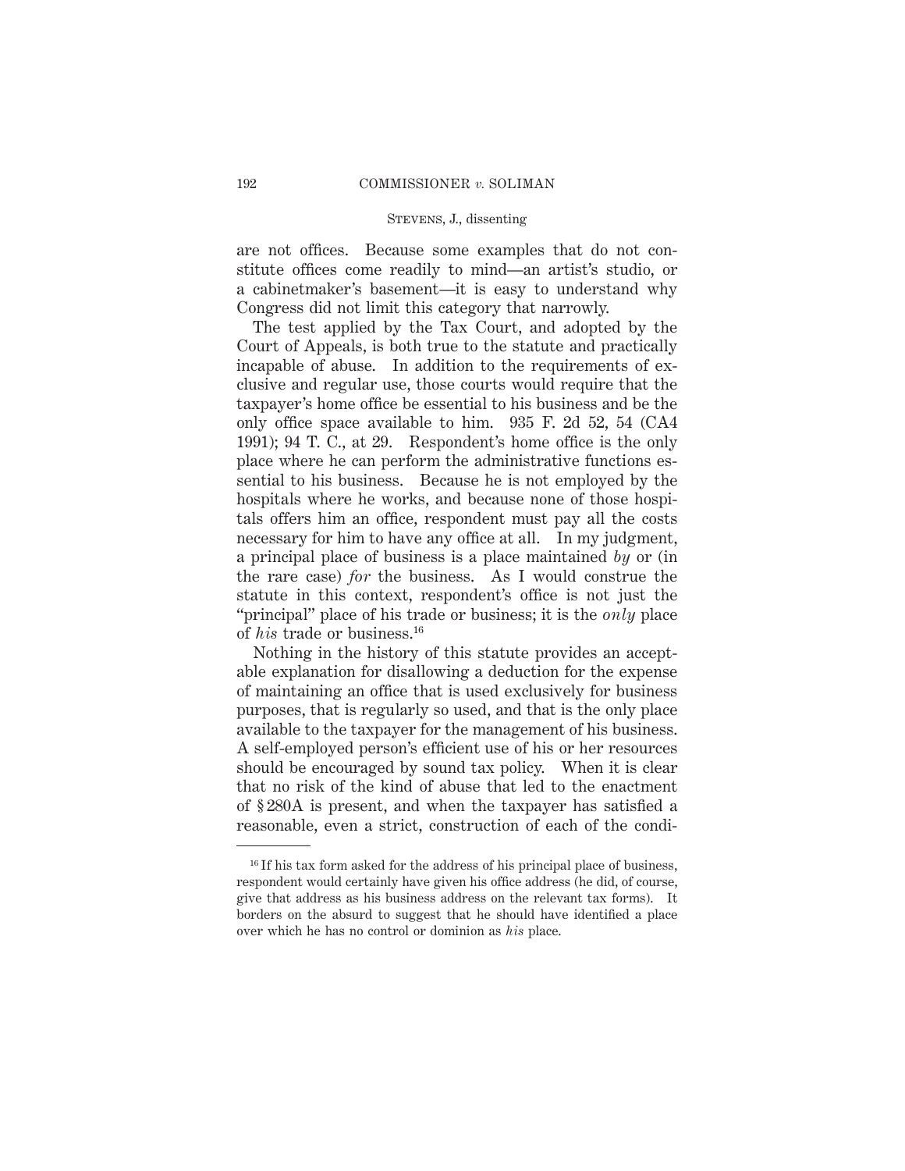are not offices. Because some examples that do not constitute offices come readily to mind—an artist's studio, or a cabinetmaker's basement—it is easy to understand why Congress did not limit this category that narrowly.

The test applied by the Tax Court, and adopted by the Court of Appeals, is both true to the statute and practically incapable of abuse. In addition to the requirements of exclusive and regular use, those courts would require that the taxpayer's home office be essential to his business and be the only office space available to him. 935 F. 2d 52, 54 (CA4 1991); 94 T. C., at 29. Respondent's home office is the only place where he can perform the administrative functions essential to his business. Because he is not employed by the hospitals where he works, and because none of those hospitals offers him an office, respondent must pay all the costs necessary for him to have any office at all. In my judgment, a principal place of business is a place maintained *by* or (in the rare case) *for* the business. As I would construe the statute in this context, respondent's office is not just the "principal" place of his trade or business; it is the *only* place of *his* trade or business.16

Nothing in the history of this statute provides an acceptable explanation for disallowing a deduction for the expense of maintaining an office that is used exclusively for business purposes, that is regularly so used, and that is the only place available to the taxpayer for the management of his business. A self-employed person's efficient use of his or her resources should be encouraged by sound tax policy. When it is clear that no risk of the kind of abuse that led to the enactment of § 280A is present, and when the taxpayer has satisfied a reasonable, even a strict, construction of each of the condi-

<sup>&</sup>lt;sup>16</sup> If his tax form asked for the address of his principal place of business, respondent would certainly have given his office address (he did, of course, give that address as his business address on the relevant tax forms). It borders on the absurd to suggest that he should have identified a place over which he has no control or dominion as *his* place.